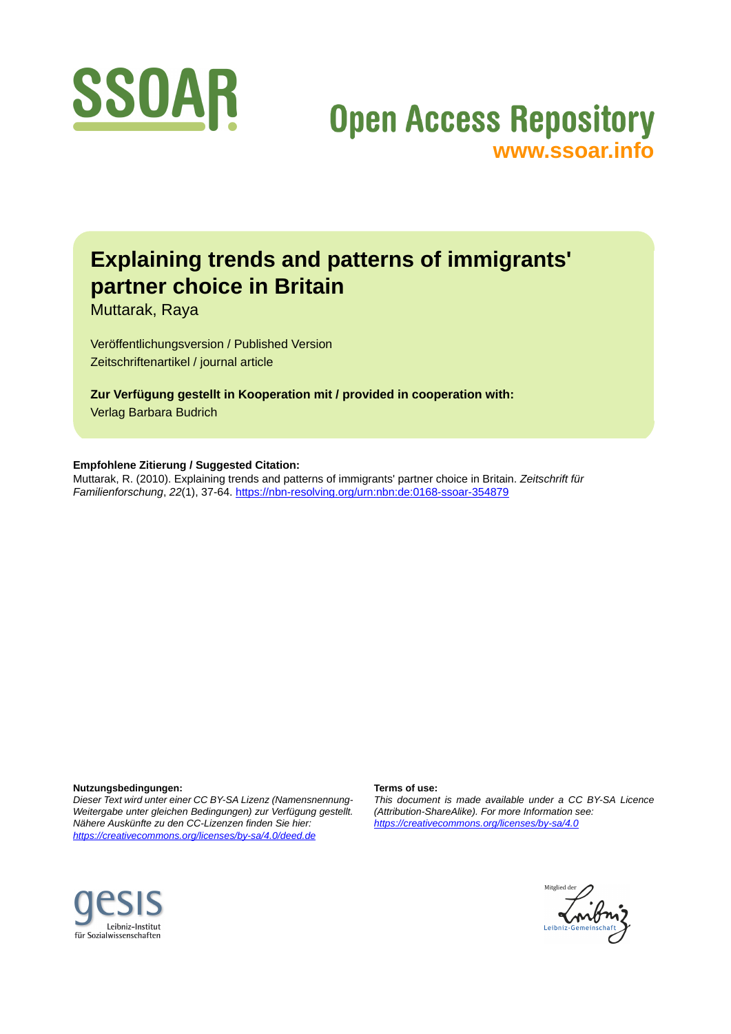

# **Open Access Repository [www.ssoar.info](http://www.ssoar.info)**

## **Explaining trends and patterns of immigrants' partner choice in Britain**

Muttarak, Raya

Veröffentlichungsversion / Published Version Zeitschriftenartikel / journal article

**Zur Verfügung gestellt in Kooperation mit / provided in cooperation with:** Verlag Barbara Budrich

**Empfohlene Zitierung / Suggested Citation:**

Muttarak, R. (2010). Explaining trends and patterns of immigrants' partner choice in Britain. *Zeitschrift für Familienforschung*, *22*(1), 37-64.<https://nbn-resolving.org/urn:nbn:de:0168-ssoar-354879>

**Nutzungsbedingungen:**

*Dieser Text wird unter einer CC BY-SA Lizenz (Namensnennung-Weitergabe unter gleichen Bedingungen) zur Verfügung gestellt. Nähere Auskünfte zu den CC-Lizenzen finden Sie hier: <https://creativecommons.org/licenses/by-sa/4.0/deed.de>*

#### **Terms of use:**

*This document is made available under a CC BY-SA Licence (Attribution-ShareAlike). For more Information see: <https://creativecommons.org/licenses/by-sa/4.0>*



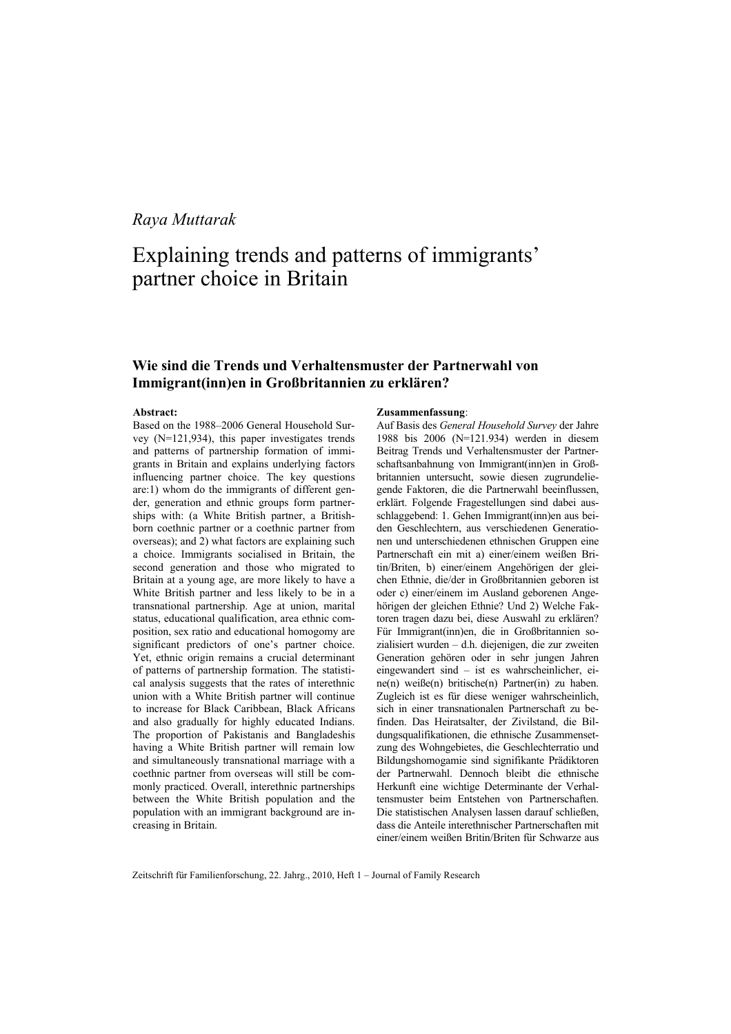## *Raya Muttarak*

## Explaining trends and patterns of immigrants' partner choice in Britain

## **Wie sind die Trends und Verhaltensmuster der Partnerwahl von Immigrant(inn)en in Großbritannien zu erklären?**

#### **Abstract:**

Based on the 1988–2006 General Household Survey (N=121,934), this paper investigates trends and patterns of partnership formation of immigrants in Britain and explains underlying factors influencing partner choice. The key questions are:1) whom do the immigrants of different gender, generation and ethnic groups form partnerships with: (a White British partner, a Britishborn coethnic partner or a coethnic partner from overseas); and 2) what factors are explaining such a choice. Immigrants socialised in Britain, the second generation and those who migrated to Britain at a young age, are more likely to have a White British partner and less likely to be in a transnational partnership. Age at union, marital status, educational qualification, area ethnic composition, sex ratio and educational homogomy are significant predictors of one's partner choice. Yet, ethnic origin remains a crucial determinant of patterns of partnership formation. The statistical analysis suggests that the rates of interethnic union with a White British partner will continue to increase for Black Caribbean, Black Africans and also gradually for highly educated Indians. The proportion of Pakistanis and Bangladeshis having a White British partner will remain low and simultaneously transnational marriage with a coethnic partner from overseas will still be commonly practiced. Overall, interethnic partnerships between the White British population and the population with an immigrant background are increasing in Britain.

#### **Zusammenfassung**:

Auf Basis des *General Household Survey* der Jahre 1988 bis 2006 (N=121.934) werden in diesem Beitrag Trends und Verhaltensmuster der Partnerschaftsanbahnung von Immigrant(inn)en in Großbritannien untersucht, sowie diesen zugrundeliegende Faktoren, die die Partnerwahl beeinflussen, erklärt. Folgende Fragestellungen sind dabei ausschlaggebend: 1. Gehen Immigrant(inn)en aus beiden Geschlechtern, aus verschiedenen Generationen und unterschiedenen ethnischen Gruppen eine Partnerschaft ein mit a) einer/einem weißen Britin/Briten, b) einer/einem Angehörigen der gleichen Ethnie, die/der in Großbritannien geboren ist oder c) einer/einem im Ausland geborenen Angehörigen der gleichen Ethnie? Und 2) Welche Faktoren tragen dazu bei, diese Auswahl zu erklären? Für Immigrant(inn)en, die in Großbritannien sozialisiert wurden – d.h. diejenigen, die zur zweiten Generation gehören oder in sehr jungen Jahren eingewandert sind – ist es wahrscheinlicher, eine(n) weiße(n) britische(n) Partner(in) zu haben. Zugleich ist es für diese weniger wahrscheinlich, sich in einer transnationalen Partnerschaft zu befinden. Das Heiratsalter, der Zivilstand, die Bildungsqualifikationen, die ethnische Zusammensetzung des Wohngebietes, die Geschlechterratio und Bildungshomogamie sind signifikante Prädiktoren der Partnerwahl. Dennoch bleibt die ethnische Herkunft eine wichtige Determinante der Verhaltensmuster beim Entstehen von Partnerschaften. Die statistischen Analysen lassen darauf schließen, dass die Anteile interethnischer Partnerschaften mit einer/einem weißen Britin/Briten für Schwarze aus

Zeitschrift für Familienforschung, 22. Jahrg., 2010, Heft 1 – Journal of Family Research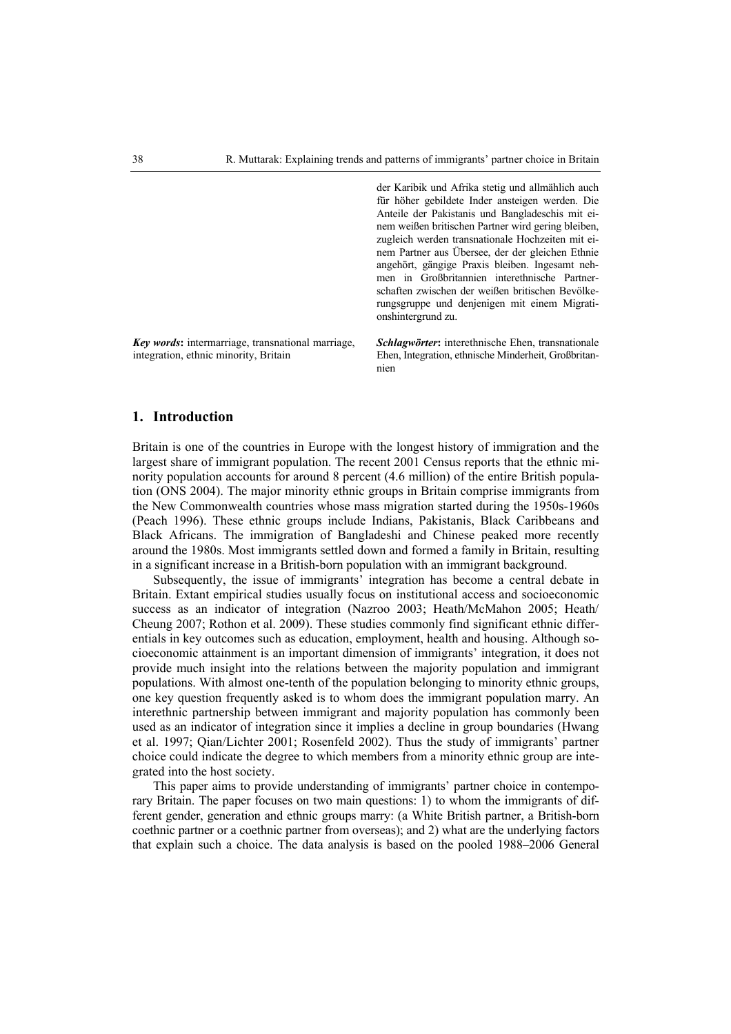der Karibik und Afrika stetig und allmählich auch

|                                                                                            | für höher gebildete Inder ansteigen werden. Die<br>Anteile der Pakistanis und Bangladeschis mit ei-<br>nem weißen britischen Partner wird gering bleiben,<br>zugleich werden transnationale Hochzeiten mit ei-<br>nem Partner aus Übersee, der der gleichen Ethnie<br>angehört, gängige Praxis bleiben. Ingesamt neh-<br>men in Großbritannien interethnische Partner-<br>schaften zwischen der weißen britischen Bevölke-<br>rungsgruppe und denjenigen mit einem Migrati-<br>onshintergrund zu. |
|--------------------------------------------------------------------------------------------|---------------------------------------------------------------------------------------------------------------------------------------------------------------------------------------------------------------------------------------------------------------------------------------------------------------------------------------------------------------------------------------------------------------------------------------------------------------------------------------------------|
| Key words: intermarriage, transnational marriage,<br>integration, ethnic minority, Britain | <i>Schlagwörter</i> : interethnische Ehen, transnationale<br>Ehen, Integration, ethnische Minderheit, Großbritan-<br>nien                                                                                                                                                                                                                                                                                                                                                                         |

#### **1. Introduction**

Britain is one of the countries in Europe with the longest history of immigration and the largest share of immigrant population. The recent 2001 Census reports that the ethnic minority population accounts for around 8 percent (4.6 million) of the entire British population (ONS 2004). The major minority ethnic groups in Britain comprise immigrants from the New Commonwealth countries whose mass migration started during the 1950s-1960s (Peach 1996). These ethnic groups include Indians, Pakistanis, Black Caribbeans and Black Africans. The immigration of Bangladeshi and Chinese peaked more recently around the 1980s. Most immigrants settled down and formed a family in Britain, resulting in a significant increase in a British-born population with an immigrant background.

Subsequently, the issue of immigrants' integration has become a central debate in Britain. Extant empirical studies usually focus on institutional access and socioeconomic success as an indicator of integration (Nazroo 2003; Heath/McMahon 2005; Heath/ Cheung 2007; Rothon et al. 2009). These studies commonly find significant ethnic differentials in key outcomes such as education, employment, health and housing. Although socioeconomic attainment is an important dimension of immigrants' integration, it does not provide much insight into the relations between the majority population and immigrant populations. With almost one-tenth of the population belonging to minority ethnic groups, one key question frequently asked is to whom does the immigrant population marry. An interethnic partnership between immigrant and majority population has commonly been used as an indicator of integration since it implies a decline in group boundaries (Hwang et al. 1997; Qian/Lichter 2001; Rosenfeld 2002). Thus the study of immigrants' partner choice could indicate the degree to which members from a minority ethnic group are integrated into the host society.

This paper aims to provide understanding of immigrants' partner choice in contemporary Britain. The paper focuses on two main questions: 1) to whom the immigrants of different gender, generation and ethnic groups marry: (a White British partner, a British-born coethnic partner or a coethnic partner from overseas); and 2) what are the underlying factors that explain such a choice. The data analysis is based on the pooled 1988–2006 General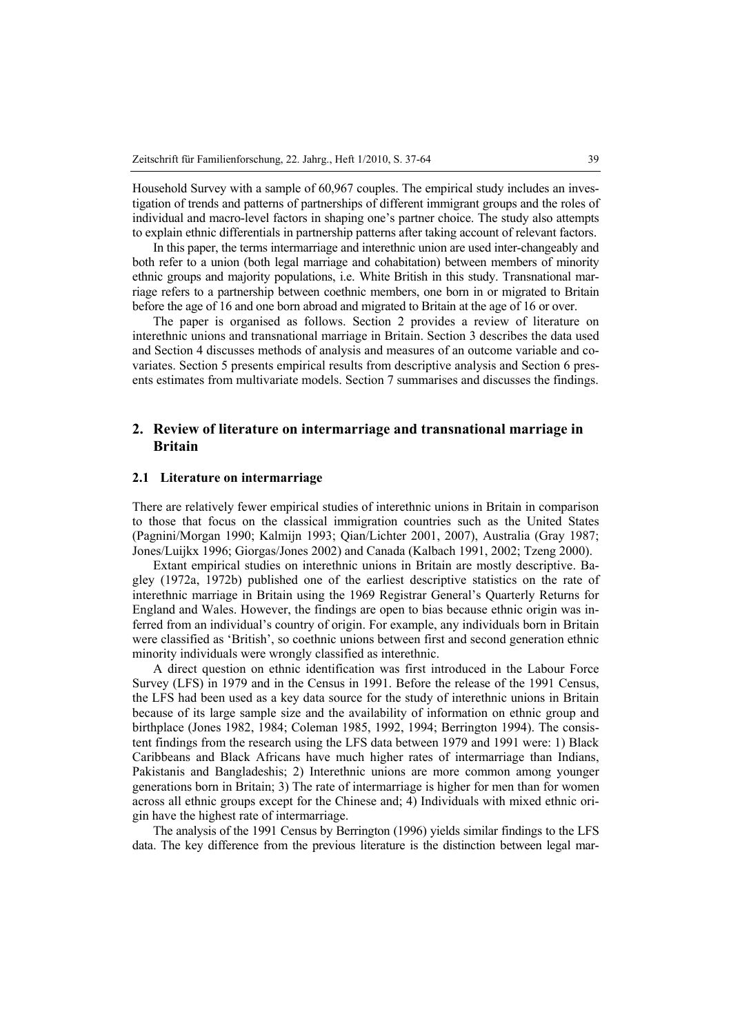Household Survey with a sample of 60,967 couples. The empirical study includes an investigation of trends and patterns of partnerships of different immigrant groups and the roles of individual and macro-level factors in shaping one's partner choice. The study also attempts to explain ethnic differentials in partnership patterns after taking account of relevant factors.

In this paper, the terms intermarriage and interethnic union are used inter-changeably and both refer to a union (both legal marriage and cohabitation) between members of minority ethnic groups and majority populations, i.e. White British in this study. Transnational marriage refers to a partnership between coethnic members, one born in or migrated to Britain before the age of 16 and one born abroad and migrated to Britain at the age of 16 or over.

The paper is organised as follows. Section 2 provides a review of literature on interethnic unions and transnational marriage in Britain. Section 3 describes the data used and Section 4 discusses methods of analysis and measures of an outcome variable and covariates. Section 5 presents empirical results from descriptive analysis and Section 6 presents estimates from multivariate models. Section 7 summarises and discusses the findings.

## **2. Review of literature on intermarriage and transnational marriage in Britain**

### **2.1 Literature on intermarriage**

There are relatively fewer empirical studies of interethnic unions in Britain in comparison to those that focus on the classical immigration countries such as the United States (Pagnini/Morgan 1990; Kalmijn 1993; Qian/Lichter 2001, 2007), Australia (Gray 1987; Jones/Luijkx 1996; Giorgas/Jones 2002) and Canada (Kalbach 1991, 2002; Tzeng 2000).

Extant empirical studies on interethnic unions in Britain are mostly descriptive. Bagley (1972a, 1972b) published one of the earliest descriptive statistics on the rate of interethnic marriage in Britain using the 1969 Registrar General's Quarterly Returns for England and Wales. However, the findings are open to bias because ethnic origin was inferred from an individual's country of origin. For example, any individuals born in Britain were classified as 'British', so coethnic unions between first and second generation ethnic minority individuals were wrongly classified as interethnic.

A direct question on ethnic identification was first introduced in the Labour Force Survey (LFS) in 1979 and in the Census in 1991. Before the release of the 1991 Census, the LFS had been used as a key data source for the study of interethnic unions in Britain because of its large sample size and the availability of information on ethnic group and birthplace (Jones 1982, 1984; Coleman 1985, 1992, 1994; Berrington 1994). The consistent findings from the research using the LFS data between 1979 and 1991 were: 1) Black Caribbeans and Black Africans have much higher rates of intermarriage than Indians, Pakistanis and Bangladeshis; 2) Interethnic unions are more common among younger generations born in Britain; 3) The rate of intermarriage is higher for men than for women across all ethnic groups except for the Chinese and; 4) Individuals with mixed ethnic origin have the highest rate of intermarriage.

The analysis of the 1991 Census by Berrington (1996) yields similar findings to the LFS data. The key difference from the previous literature is the distinction between legal mar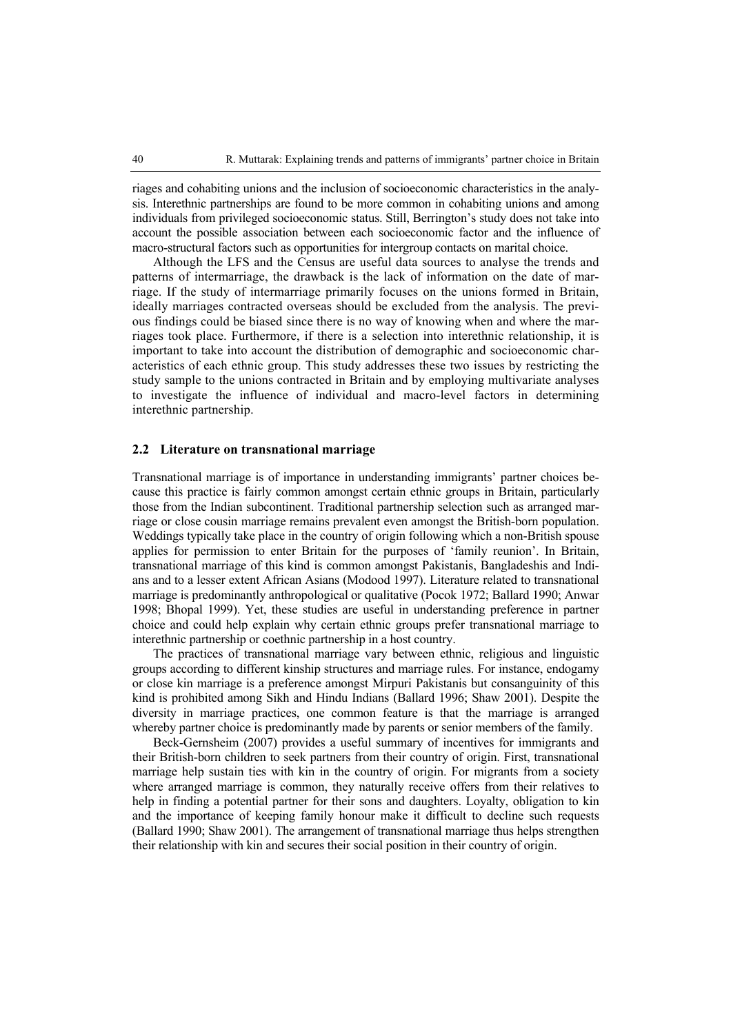riages and cohabiting unions and the inclusion of socioeconomic characteristics in the analysis. Interethnic partnerships are found to be more common in cohabiting unions and among individuals from privileged socioeconomic status. Still, Berrington's study does not take into account the possible association between each socioeconomic factor and the influence of macro-structural factors such as opportunities for intergroup contacts on marital choice.

Although the LFS and the Census are useful data sources to analyse the trends and patterns of intermarriage, the drawback is the lack of information on the date of marriage. If the study of intermarriage primarily focuses on the unions formed in Britain, ideally marriages contracted overseas should be excluded from the analysis. The previous findings could be biased since there is no way of knowing when and where the marriages took place. Furthermore, if there is a selection into interethnic relationship, it is important to take into account the distribution of demographic and socioeconomic characteristics of each ethnic group. This study addresses these two issues by restricting the study sample to the unions contracted in Britain and by employing multivariate analyses to investigate the influence of individual and macro-level factors in determining interethnic partnership.

#### **2.2 Literature on transnational marriage**

Transnational marriage is of importance in understanding immigrants' partner choices because this practice is fairly common amongst certain ethnic groups in Britain, particularly those from the Indian subcontinent. Traditional partnership selection such as arranged marriage or close cousin marriage remains prevalent even amongst the British-born population. Weddings typically take place in the country of origin following which a non-British spouse applies for permission to enter Britain for the purposes of 'family reunion'. In Britain, transnational marriage of this kind is common amongst Pakistanis, Bangladeshis and Indians and to a lesser extent African Asians (Modood 1997). Literature related to transnational marriage is predominantly anthropological or qualitative (Pocok 1972; Ballard 1990; Anwar 1998; Bhopal 1999). Yet, these studies are useful in understanding preference in partner choice and could help explain why certain ethnic groups prefer transnational marriage to interethnic partnership or coethnic partnership in a host country.

The practices of transnational marriage vary between ethnic, religious and linguistic groups according to different kinship structures and marriage rules. For instance, endogamy or close kin marriage is a preference amongst Mirpuri Pakistanis but consanguinity of this kind is prohibited among Sikh and Hindu Indians (Ballard 1996; Shaw 2001). Despite the diversity in marriage practices, one common feature is that the marriage is arranged whereby partner choice is predominantly made by parents or senior members of the family.

Beck-Gernsheim (2007) provides a useful summary of incentives for immigrants and their British-born children to seek partners from their country of origin. First, transnational marriage help sustain ties with kin in the country of origin. For migrants from a society where arranged marriage is common, they naturally receive offers from their relatives to help in finding a potential partner for their sons and daughters. Loyalty, obligation to kin and the importance of keeping family honour make it difficult to decline such requests (Ballard 1990; Shaw 2001). The arrangement of transnational marriage thus helps strengthen their relationship with kin and secures their social position in their country of origin.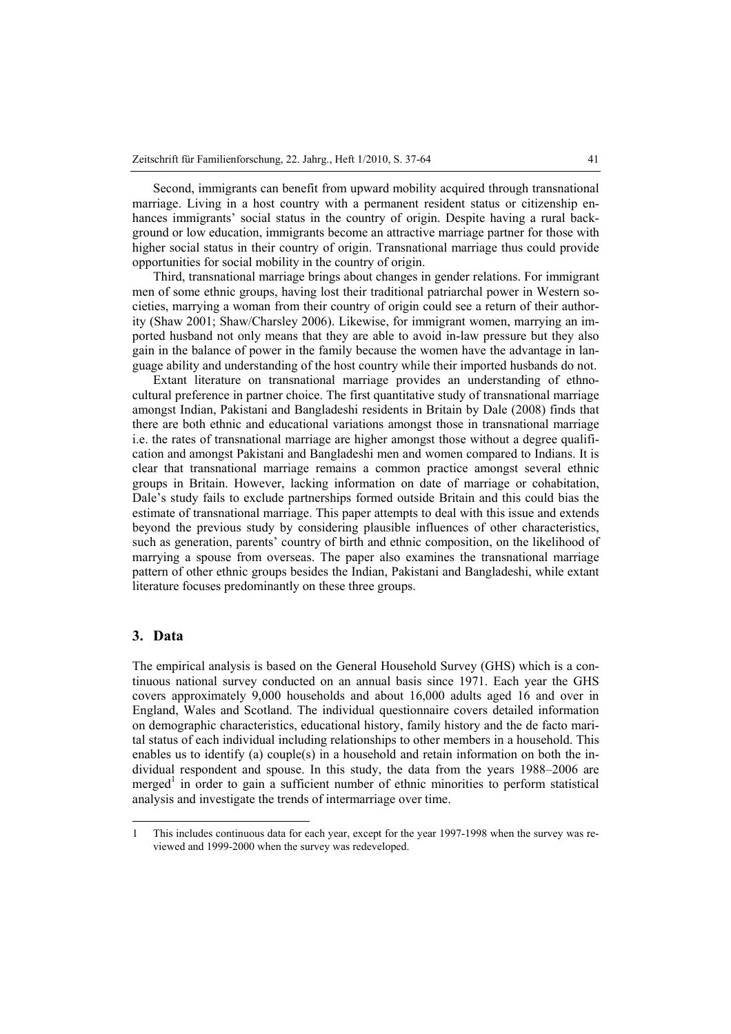Second, immigrants can benefit from upward mobility acquired through transnational marriage. Living in a host country with a permanent resident status or citizenship enhances immigrants' social status in the country of origin. Despite having a rural background or low education, immigrants become an attractive marriage partner for those with higher social status in their country of origin. Transnational marriage thus could provide opportunities for social mobility in the country of origin.

Third, transnational marriage brings about changes in gender relations. For immigrant men of some ethnic groups, having lost their traditional patriarchal power in Western societies, marrying a woman from their country of origin could see a return of their authority (Shaw 2001; Shaw/Charsley 2006). Likewise, for immigrant women, marrying an imported husband not only means that they are able to avoid in-law pressure but they also gain in the balance of power in the family because the women have the advantage in language ability and understanding of the host country while their imported husbands do not.

Extant literature on transnational marriage provides an understanding of ethnocultural preference in partner choice. The first quantitative study of transnational marriage amongst Indian, Pakistani and Bangladeshi residents in Britain by Dale (2008) finds that there are both ethnic and educational variations amongst those in transnational marriage i.e. the rates of transnational marriage are higher amongst those without a degree qualification and amongst Pakistani and Bangladeshi men and women compared to Indians. It is clear that transnational marriage remains a common practice amongst several ethnic groups in Britain. However, lacking information on date of marriage or cohabitation, Dale's study fails to exclude partnerships formed outside Britain and this could bias the estimate of transnational marriage. This paper attempts to deal with this issue and extends beyond the previous study by considering plausible influences of other characteristics, such as generation, parents' country of birth and ethnic composition, on the likelihood of marrying a spouse from overseas. The paper also examines the transnational marriage pattern of other ethnic groups besides the Indian, Pakistani and Bangladeshi, while extant literature focuses predominantly on these three groups.

## **3. Data**

 $\overline{a}$ 

The empirical analysis is based on the General Household Survey (GHS) which is a continuous national survey conducted on an annual basis since 1971. Each year the GHS covers approximately 9,000 households and about 16,000 adults aged 16 and over in England, Wales and Scotland. The individual questionnaire covers detailed information on demographic characteristics, educational history, family history and the de facto marital status of each individual including relationships to other members in a household. This enables us to identify (a) couple(s) in a household and retain information on both the individual respondent and spouse. In this study, the data from the years 1988–2006 are merged<sup>1</sup> in order to gain a sufficient number of ethnic minorities to perform statistical analysis and investigate the trends of intermarriage over time.

<sup>1</sup> This includes continuous data for each year, except for the year 1997-1998 when the survey was reviewed and 1999-2000 when the survey was redeveloped.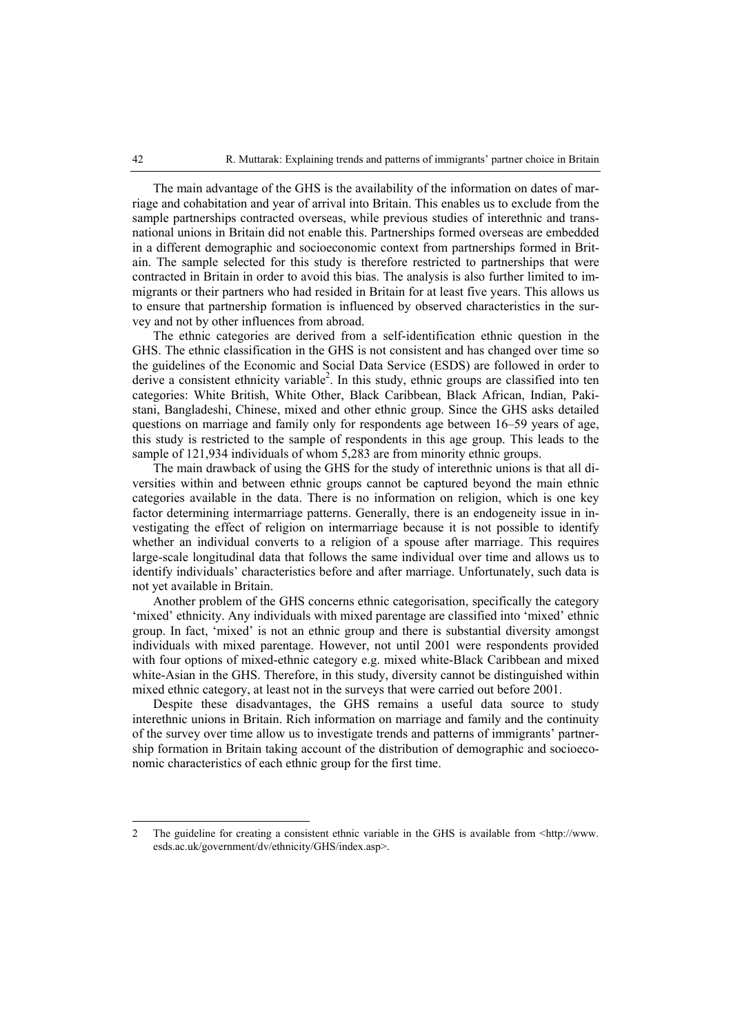The main advantage of the GHS is the availability of the information on dates of marriage and cohabitation and year of arrival into Britain. This enables us to exclude from the sample partnerships contracted overseas, while previous studies of interethnic and transnational unions in Britain did not enable this. Partnerships formed overseas are embedded in a different demographic and socioeconomic context from partnerships formed in Britain. The sample selected for this study is therefore restricted to partnerships that were contracted in Britain in order to avoid this bias. The analysis is also further limited to immigrants or their partners who had resided in Britain for at least five years. This allows us to ensure that partnership formation is influenced by observed characteristics in the survey and not by other influences from abroad.

The ethnic categories are derived from a self-identification ethnic question in the GHS. The ethnic classification in the GHS is not consistent and has changed over time so the guidelines of the Economic and Social Data Service (ESDS) are followed in order to derive a consistent ethnicity variable<sup>2</sup>. In this study, ethnic groups are classified into ten categories: White British, White Other, Black Caribbean, Black African, Indian, Pakistani, Bangladeshi, Chinese, mixed and other ethnic group. Since the GHS asks detailed questions on marriage and family only for respondents age between 16–59 years of age, this study is restricted to the sample of respondents in this age group. This leads to the sample of 121,934 individuals of whom 5,283 are from minority ethnic groups.

The main drawback of using the GHS for the study of interethnic unions is that all diversities within and between ethnic groups cannot be captured beyond the main ethnic categories available in the data. There is no information on religion, which is one key factor determining intermarriage patterns. Generally, there is an endogeneity issue in investigating the effect of religion on intermarriage because it is not possible to identify whether an individual converts to a religion of a spouse after marriage. This requires large-scale longitudinal data that follows the same individual over time and allows us to identify individuals' characteristics before and after marriage. Unfortunately, such data is not yet available in Britain.

Another problem of the GHS concerns ethnic categorisation, specifically the category 'mixed' ethnicity. Any individuals with mixed parentage are classified into 'mixed' ethnic group. In fact, 'mixed' is not an ethnic group and there is substantial diversity amongst individuals with mixed parentage. However, not until 2001 were respondents provided with four options of mixed-ethnic category e.g. mixed white-Black Caribbean and mixed white-Asian in the GHS. Therefore, in this study, diversity cannot be distinguished within mixed ethnic category, at least not in the surveys that were carried out before 2001.

Despite these disadvantages, the GHS remains a useful data source to study interethnic unions in Britain. Rich information on marriage and family and the continuity of the survey over time allow us to investigate trends and patterns of immigrants' partnership formation in Britain taking account of the distribution of demographic and socioeconomic characteristics of each ethnic group for the first time.

 $\overline{a}$ 

<sup>2</sup> The guideline for creating a consistent ethnic variable in the GHS is available from  $\text{~dttp://www.}$ esds.ac.uk/government/dv/ethnicity/GHS/index.asp>.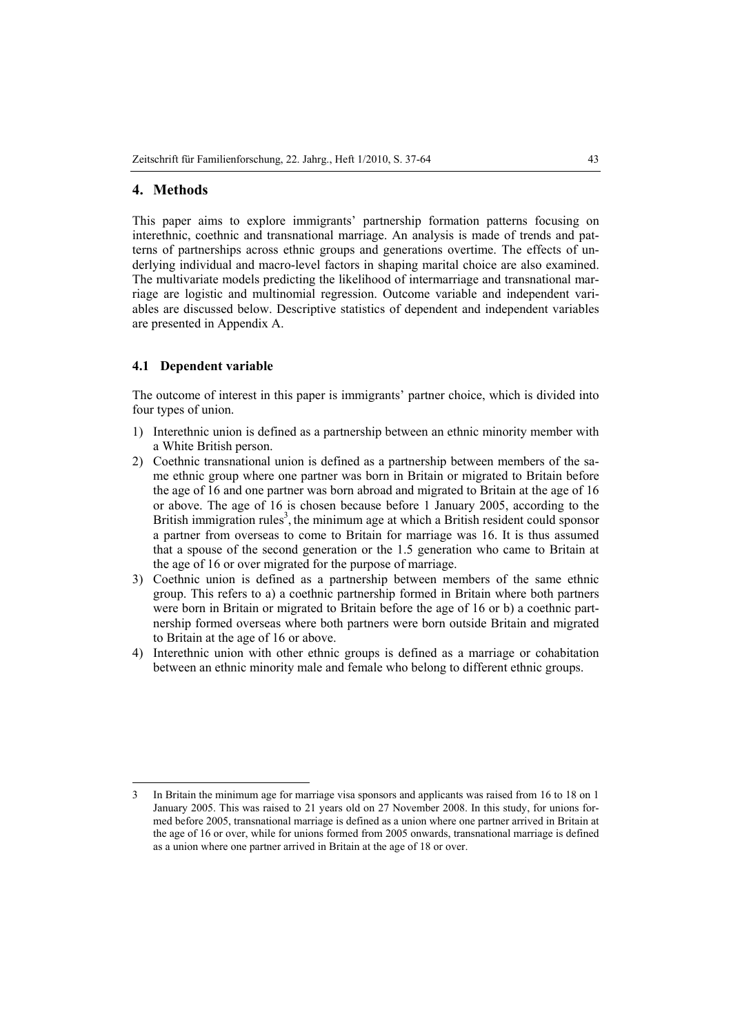## **4. Methods**

This paper aims to explore immigrants' partnership formation patterns focusing on interethnic, coethnic and transnational marriage. An analysis is made of trends and patterns of partnerships across ethnic groups and generations overtime. The effects of underlying individual and macro-level factors in shaping marital choice are also examined. The multivariate models predicting the likelihood of intermarriage and transnational marriage are logistic and multinomial regression. Outcome variable and independent variables are discussed below. Descriptive statistics of dependent and independent variables are presented in Appendix A.

#### **4.1 Dependent variable**

The outcome of interest in this paper is immigrants' partner choice, which is divided into four types of union.

- 1) Interethnic union is defined as a partnership between an ethnic minority member with a White British person.
- 2) Coethnic transnational union is defined as a partnership between members of the same ethnic group where one partner was born in Britain or migrated to Britain before the age of 16 and one partner was born abroad and migrated to Britain at the age of 16 or above. The age of 16 is chosen because before 1 January 2005, according to the British immigration rules<sup>3</sup>, the minimum age at which a British resident could sponsor a partner from overseas to come to Britain for marriage was 16. It is thus assumed that a spouse of the second generation or the 1.5 generation who came to Britain at the age of 16 or over migrated for the purpose of marriage.
- 3) Coethnic union is defined as a partnership between members of the same ethnic group. This refers to a) a coethnic partnership formed in Britain where both partners were born in Britain or migrated to Britain before the age of 16 or b) a coethnic partnership formed overseas where both partners were born outside Britain and migrated to Britain at the age of 16 or above.
- 4) Interethnic union with other ethnic groups is defined as a marriage or cohabitation between an ethnic minority male and female who belong to different ethnic groups.

 $\overline{a}$ 3 In Britain the minimum age for marriage visa sponsors and applicants was raised from 16 to 18 on 1 January 2005. This was raised to 21 years old on 27 November 2008. In this study, for unions formed before 2005, transnational marriage is defined as a union where one partner arrived in Britain at the age of 16 or over, while for unions formed from 2005 onwards, transnational marriage is defined as a union where one partner arrived in Britain at the age of 18 or over.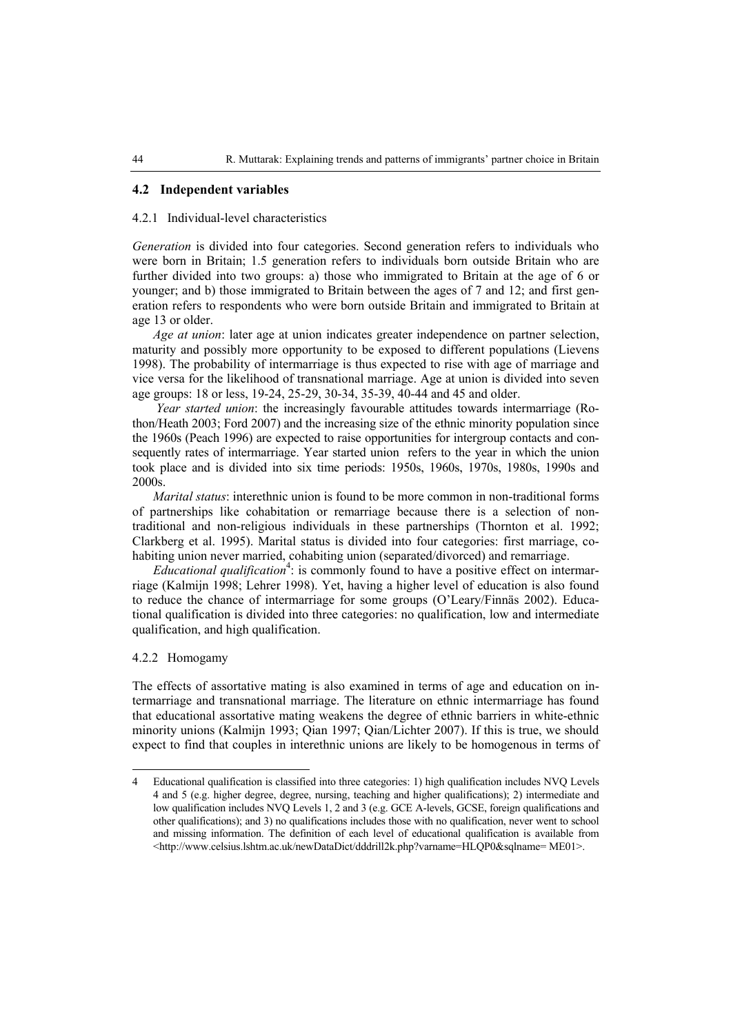#### **4.2 Independent variables**

#### 4.2.1 Individual-level characteristics

*Generation* is divided into four categories. Second generation refers to individuals who were born in Britain; 1.5 generation refers to individuals born outside Britain who are further divided into two groups: a) those who immigrated to Britain at the age of 6 or younger; and b) those immigrated to Britain between the ages of 7 and 12; and first generation refers to respondents who were born outside Britain and immigrated to Britain at age 13 or older.

*Age at union*: later age at union indicates greater independence on partner selection, maturity and possibly more opportunity to be exposed to different populations (Lievens 1998). The probability of intermarriage is thus expected to rise with age of marriage and vice versa for the likelihood of transnational marriage. Age at union is divided into seven age groups: 18 or less, 19-24, 25-29, 30-34, 35-39, 40-44 and 45 and older.

 *Year started union*: the increasingly favourable attitudes towards intermarriage (Rothon/Heath 2003; Ford 2007) and the increasing size of the ethnic minority population since the 1960s (Peach 1996) are expected to raise opportunities for intergroup contacts and consequently rates of intermarriage. Year started union refers to the year in which the union took place and is divided into six time periods: 1950s, 1960s, 1970s, 1980s, 1990s and 2000s.

*Marital status*: interethnic union is found to be more common in non-traditional forms of partnerships like cohabitation or remarriage because there is a selection of nontraditional and non-religious individuals in these partnerships (Thornton et al. 1992; Clarkberg et al. 1995). Marital status is divided into four categories: first marriage, cohabiting union never married, cohabiting union (separated/divorced) and remarriage.

Educational qualification<sup>4</sup>: is commonly found to have a positive effect on intermarriage (Kalmijn 1998; Lehrer 1998). Yet, having a higher level of education is also found to reduce the chance of intermarriage for some groups (O'Leary/Finnäs 2002). Educational qualification is divided into three categories: no qualification, low and intermediate qualification, and high qualification.

#### 4.2.2 Homogamy

 $\overline{a}$ 

The effects of assortative mating is also examined in terms of age and education on intermarriage and transnational marriage. The literature on ethnic intermarriage has found that educational assortative mating weakens the degree of ethnic barriers in white-ethnic minority unions (Kalmijn 1993; Qian 1997; Qian/Lichter 2007). If this is true, we should expect to find that couples in interethnic unions are likely to be homogenous in terms of

<sup>4</sup> Educational qualification is classified into three categories: 1) high qualification includes NVQ Levels 4 and 5 (e.g. higher degree, degree, nursing, teaching and higher qualifications); 2) intermediate and low qualification includes NVQ Levels 1, 2 and 3 (e.g. GCE A-levels, GCSE, foreign qualifications and other qualifications); and 3) no qualifications includes those with no qualification, never went to school and missing information. The definition of each level of educational qualification is available from <http://www.celsius.lshtm.ac.uk/newDataDict/dddrill2k.php?varname=HLQP0&sqlname= ME01>.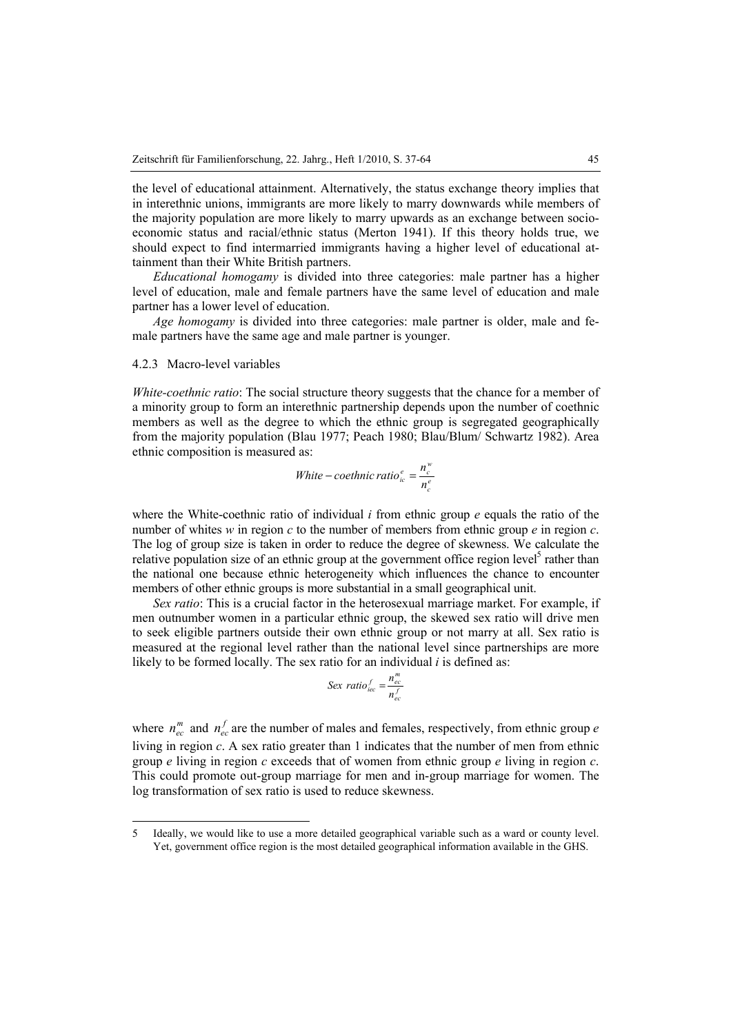the level of educational attainment. Alternatively, the status exchange theory implies that in interethnic unions, immigrants are more likely to marry downwards while members of the majority population are more likely to marry upwards as an exchange between socioeconomic status and racial/ethnic status (Merton 1941). If this theory holds true, we should expect to find intermarried immigrants having a higher level of educational attainment than their White British partners.

*Educational homogamy* is divided into three categories: male partner has a higher level of education, male and female partners have the same level of education and male partner has a lower level of education.

*Age homogamy* is divided into three categories: male partner is older, male and female partners have the same age and male partner is younger.

#### 4.2.3 Macro-level variables

 $\overline{a}$ 

*White-coethnic ratio*: The social structure theory suggests that the chance for a member of a minority group to form an interethnic partnership depends upon the number of coethnic members as well as the degree to which the ethnic group is segregated geographically from the majority population (Blau 1977; Peach 1980; Blau/Blum/ Schwartz 1982). Area ethnic composition is measured as:

*White* – *coethnic ratio*<sub>*ic*</sub><sup>*e*</sup> = 
$$
\frac{n_c^w}{n_c^e}
$$

where the White-coethnic ratio of individual *i* from ethnic group *e* equals the ratio of the number of whites *w* in region *c* to the number of members from ethnic group *e* in region *c*. The log of group size is taken in order to reduce the degree of skewness. We calculate the relative population size of an ethnic group at the government office region level<sup>5</sup> rather than the national one because ethnic heterogeneity which influences the chance to encounter members of other ethnic groups is more substantial in a small geographical unit.

*Sex ratio*: This is a crucial factor in the heterosexual marriage market. For example, if men outnumber women in a particular ethnic group, the skewed sex ratio will drive men to seek eligible partners outside their own ethnic group or not marry at all. Sex ratio is measured at the regional level rather than the national level since partnerships are more likely to be formed locally. The sex ratio for an individual *i* is defined as:

$$
Sex ratio_{\text{dec}}^f = \frac{n_{\text{ec}}^m}{n_{\text{ec}}^f}
$$

where  $n_{ec}^m$  and  $n_{ec}^f$  are the number of males and females, respectively, from ethnic group *e* living in region *c*. A sex ratio greater than 1 indicates that the number of men from ethnic group *e* living in region *c* exceeds that of women from ethnic group *e* living in region *c*. This could promote out-group marriage for men and in-group marriage for women. The log transformation of sex ratio is used to reduce skewness.

<sup>5</sup> Ideally, we would like to use a more detailed geographical variable such as a ward or county level. Yet, government office region is the most detailed geographical information available in the GHS.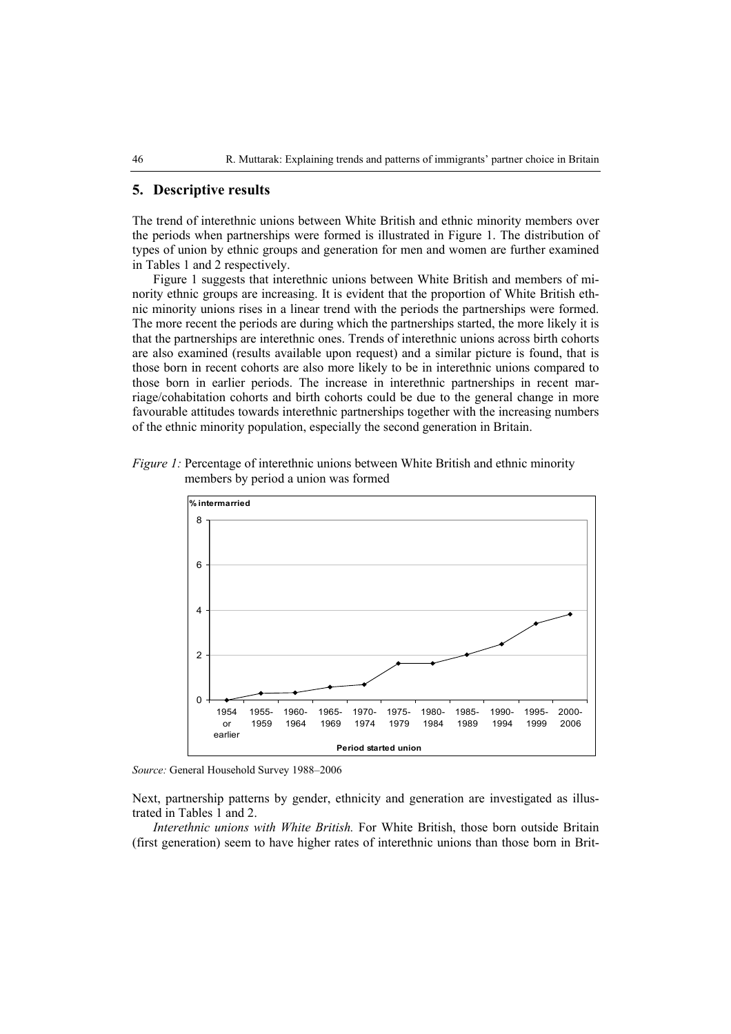## **5. Descriptive results**

The trend of interethnic unions between White British and ethnic minority members over the periods when partnerships were formed is illustrated in Figure 1. The distribution of types of union by ethnic groups and generation for men and women are further examined in Tables 1 and 2 respectively.

Figure 1 suggests that interethnic unions between White British and members of minority ethnic groups are increasing. It is evident that the proportion of White British ethnic minority unions rises in a linear trend with the periods the partnerships were formed. The more recent the periods are during which the partnerships started, the more likely it is that the partnerships are interethnic ones. Trends of interethnic unions across birth cohorts are also examined (results available upon request) and a similar picture is found, that is those born in recent cohorts are also more likely to be in interethnic unions compared to those born in earlier periods. The increase in interethnic partnerships in recent marriage/cohabitation cohorts and birth cohorts could be due to the general change in more favourable attitudes towards interethnic partnerships together with the increasing numbers of the ethnic minority population, especially the second generation in Britain.





*Source:* General Household Survey 1988–2006

Next, partnership patterns by gender, ethnicity and generation are investigated as illustrated in Tables 1 and 2.

*Interethnic unions with White British.* For White British, those born outside Britain (first generation) seem to have higher rates of interethnic unions than those born in Brit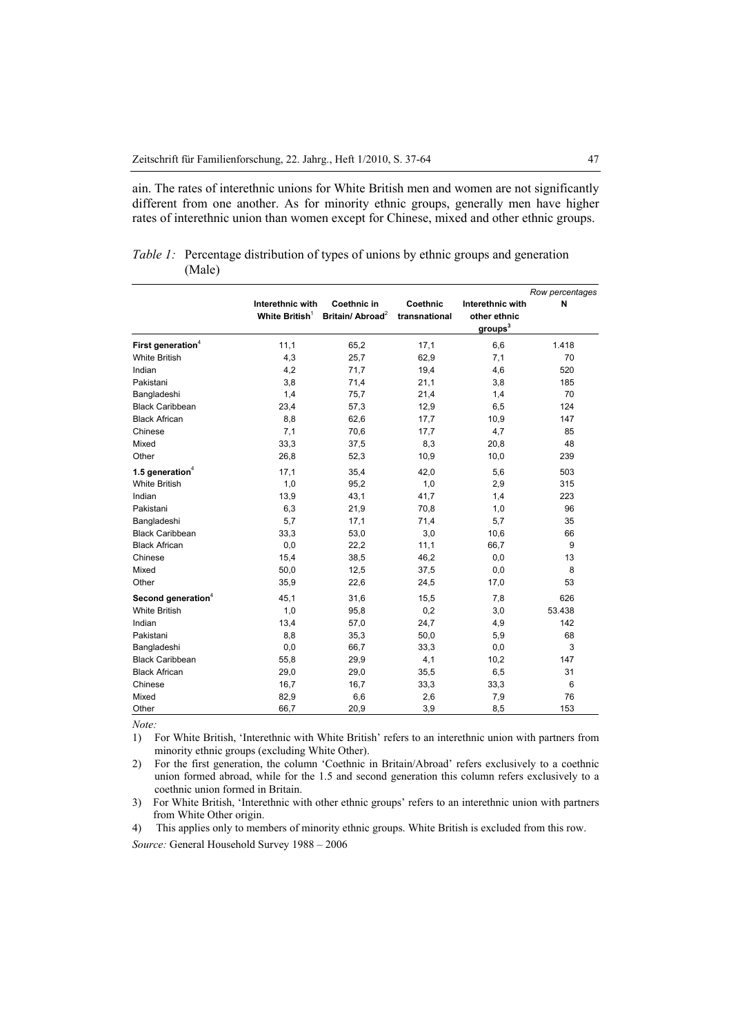ain. The rates of interethnic unions for White British men and women are not significantly different from one another. As for minority ethnic groups, generally men have higher rates of interethnic union than women except for Chinese, mixed and other ethnic groups.

|                                |                                       |                                             |                           |                                                   | Row percentages |
|--------------------------------|---------------------------------------|---------------------------------------------|---------------------------|---------------------------------------------------|-----------------|
|                                | Interethnic with<br>White British $1$ | Coethnic in<br>Britain/ Abroad <sup>2</sup> | Coethnic<br>transnational | Interethnic with<br>other ethnic<br>$g$ roups $3$ | N               |
| First generation <sup>4</sup>  | 11,1                                  | 65,2                                        | 17,1                      | 6,6                                               | 1.418           |
| <b>White British</b>           | 4,3                                   | 25,7                                        | 62,9                      | 7,1                                               | 70              |
| Indian                         | 4,2                                   | 71,7                                        | 19,4                      | 4,6                                               | 520             |
| Pakistani                      | 3,8                                   | 71,4                                        | 21,1                      | 3,8                                               | 185             |
| Bangladeshi                    | 1,4                                   | 75,7                                        | 21,4                      | 1,4                                               | 70              |
| <b>Black Caribbean</b>         | 23,4                                  | 57,3                                        | 12,9                      | 6,5                                               | 124             |
| <b>Black African</b>           | 8,8                                   | 62,6                                        | 17,7                      | 10,9                                              | 147             |
| Chinese                        | 7,1                                   | 70,6                                        | 17,7                      | 4,7                                               | 85              |
| Mixed                          | 33,3                                  | 37,5                                        | 8,3                       | 20,8                                              | 48              |
| Other                          | 26,8                                  | 52,3                                        | 10,9                      | 10,0                                              | 239             |
| 1.5 generation <sup>4</sup>    | 17,1                                  | 35,4                                        | 42,0                      | 5,6                                               | 503             |
| <b>White British</b>           | 1,0                                   | 95,2                                        | 1,0                       | 2,9                                               | 315             |
| Indian                         | 13,9                                  | 43,1                                        | 41,7                      | 1,4                                               | 223             |
| Pakistani                      | 6,3                                   | 21,9                                        | 70,8                      | 1,0                                               | 96              |
| Bangladeshi                    | 5,7                                   | 17,1                                        | 71,4                      | 5,7                                               | 35              |
| <b>Black Caribbean</b>         | 33,3                                  | 53,0                                        | 3,0                       | 10,6                                              | 66              |
| <b>Black African</b>           | 0,0                                   | 22,2                                        | 11,1                      | 66,7                                              | 9               |
| Chinese                        | 15,4                                  | 38,5                                        | 46,2                      | 0,0                                               | 13              |
| Mixed                          | 50,0                                  | 12,5                                        | 37,5                      | 0,0                                               | 8               |
| Other                          | 35,9                                  | 22,6                                        | 24,5                      | 17,0                                              | 53              |
| Second generation <sup>4</sup> | 45,1                                  | 31,6                                        | 15,5                      | 7,8                                               | 626             |
| <b>White British</b>           | 1,0                                   | 95,8                                        | 0,2                       | 3,0                                               | 53.438          |
| Indian                         | 13,4                                  | 57,0                                        | 24,7                      | 4,9                                               | 142             |
| Pakistani                      | 8,8                                   | 35,3                                        | 50,0                      | 5,9                                               | 68              |
| Bangladeshi                    | 0,0                                   | 66,7                                        | 33,3                      | 0,0                                               | 3               |
| <b>Black Caribbean</b>         | 55,8                                  | 29,9                                        | 4,1                       | 10,2                                              | 147             |
| <b>Black African</b>           | 29,0                                  | 29,0                                        | 35,5                      | 6,5                                               | 31              |
| Chinese                        | 16,7                                  | 16,7                                        | 33,3                      | 33,3                                              | 6               |
| Mixed                          | 82,9                                  | 6,6                                         | 2,6                       | 7,9                                               | 76              |
| Other                          | 66,7                                  | 20,9                                        | 3,9                       | 8,5                                               | 153             |

|        |  |  | <i>Table 1:</i> Percentage distribution of types of unions by ethnic groups and generation |
|--------|--|--|--------------------------------------------------------------------------------------------|
| (Male) |  |  |                                                                                            |

*Note:*

1) For White British, 'Interethnic with White British' refers to an interethnic union with partners from minority ethnic groups (excluding White Other).

2) For the first generation, the column 'Coethnic in Britain/Abroad' refers exclusively to a coethnic union formed abroad, while for the 1.5 and second generation this column refers exclusively to a coethnic union formed in Britain.

3) For White British, 'Interethnic with other ethnic groups' refers to an interethnic union with partners from White Other origin.

4) This applies only to members of minority ethnic groups. White British is excluded from this row.

*Source:* General Household Survey 1988 – 2006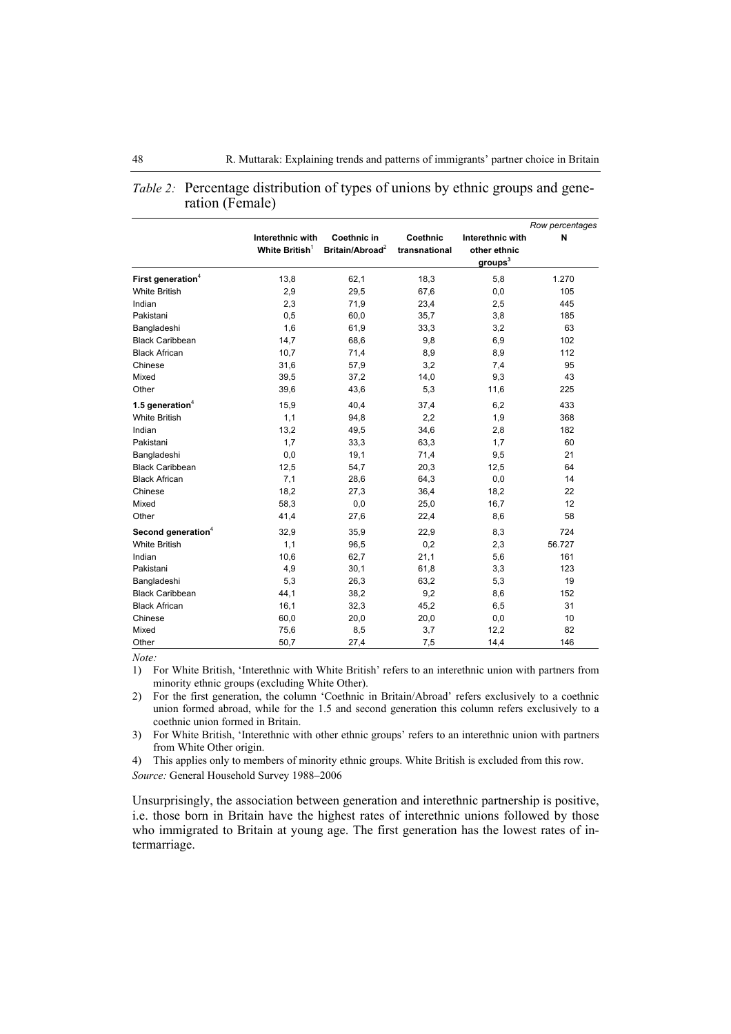|                                |                   |                             |               |                     | Row percentages |
|--------------------------------|-------------------|-----------------------------|---------------|---------------------|-----------------|
|                                | Interethnic with  | Coethnic in                 | Coethnic      | Interethnic with    | N               |
|                                | White British $1$ | Britain/Abroad <sup>2</sup> | transnational | other ethnic        |                 |
|                                |                   |                             |               | groups <sup>3</sup> |                 |
| First generation <sup>4</sup>  | 13,8              | 62,1                        | 18,3          | 5,8                 | 1.270           |
| <b>White British</b>           | 2,9               | 29,5                        | 67,6          | 0,0                 | 105             |
| Indian                         | 2,3               | 71,9                        | 23,4          | 2,5                 | 445             |
| Pakistani                      | 0,5               | 60,0                        | 35,7          | 3,8                 | 185             |
| Bangladeshi                    | 1,6               | 61,9                        | 33,3          | 3,2                 | 63              |
| <b>Black Caribbean</b>         | 14,7              | 68,6                        | 9,8           | 6,9                 | 102             |
| <b>Black African</b>           | 10,7              | 71,4                        | 8,9           | 8,9                 | 112             |
| Chinese                        | 31,6              | 57,9                        | 3,2           | 7,4                 | 95              |
| Mixed                          | 39,5              | 37,2                        | 14,0          | 9,3                 | 43              |
| Other                          | 39,6              | 43,6                        | 5,3           | 11,6                | 225             |
| 1.5 generation $4$             | 15,9              | 40,4                        | 37,4          | 6,2                 | 433             |
| <b>White British</b>           | 1,1               | 94,8                        | 2,2           | 1,9                 | 368             |
| Indian                         | 13,2              | 49,5                        | 34,6          | 2,8                 | 182             |
| Pakistani                      | 1,7               | 33,3                        | 63,3          | 1,7                 | 60              |
| Bangladeshi                    | 0,0               | 19,1                        | 71,4          | 9,5                 | 21              |
| <b>Black Caribbean</b>         | 12,5              | 54,7                        | 20,3          | 12,5                | 64              |
| <b>Black African</b>           | 7,1               | 28,6                        | 64,3          | 0,0                 | 14              |
| Chinese                        | 18,2              | 27,3                        | 36,4          | 18,2                | 22              |
| Mixed                          | 58,3              | 0,0                         | 25,0          | 16,7                | 12              |
| Other                          | 41,4              | 27,6                        | 22,4          | 8,6                 | 58              |
| Second generation <sup>4</sup> | 32,9              | 35,9                        | 22,9          | 8,3                 | 724             |
| <b>White British</b>           | 1,1               | 96,5                        | 0,2           | 2,3                 | 56.727          |
| Indian                         | 10,6              | 62,7                        | 21,1          | 5,6                 | 161             |
| Pakistani                      | 4,9               | 30,1                        | 61,8          | 3,3                 | 123             |
| Bangladeshi                    | 5,3               | 26,3                        | 63,2          | 5,3                 | 19              |
| <b>Black Caribbean</b>         | 44,1              | 38,2                        | 9,2           | 8,6                 | 152             |
| <b>Black African</b>           | 16,1              | 32,3                        | 45,2          | 6,5                 | 31              |
| Chinese                        | 60,0              | 20,0                        | 20,0          | 0,0                 | 10              |
| Mixed                          | 75,6              | 8,5                         | 3,7           | 12,2                | 82              |
| Other                          | 50,7              | 27,4                        | 7,5           | 14,4                | 146             |

| <i>Table 2:</i> Percentage distribution of types of unions by ethnic groups and gene- |
|---------------------------------------------------------------------------------------|
| ration (Female)                                                                       |

*Note:*

1) For White British, 'Interethnic with White British' refers to an interethnic union with partners from minority ethnic groups (excluding White Other).

2) For the first generation, the column 'Coethnic in Britain/Abroad' refers exclusively to a coethnic union formed abroad, while for the 1.5 and second generation this column refers exclusively to a coethnic union formed in Britain.

3) For White British, 'Interethnic with other ethnic groups' refers to an interethnic union with partners from White Other origin.

4) This applies only to members of minority ethnic groups. White British is excluded from this row.

*Source:* General Household Survey 1988–2006

Unsurprisingly, the association between generation and interethnic partnership is positive, i.e. those born in Britain have the highest rates of interethnic unions followed by those who immigrated to Britain at young age. The first generation has the lowest rates of intermarriage.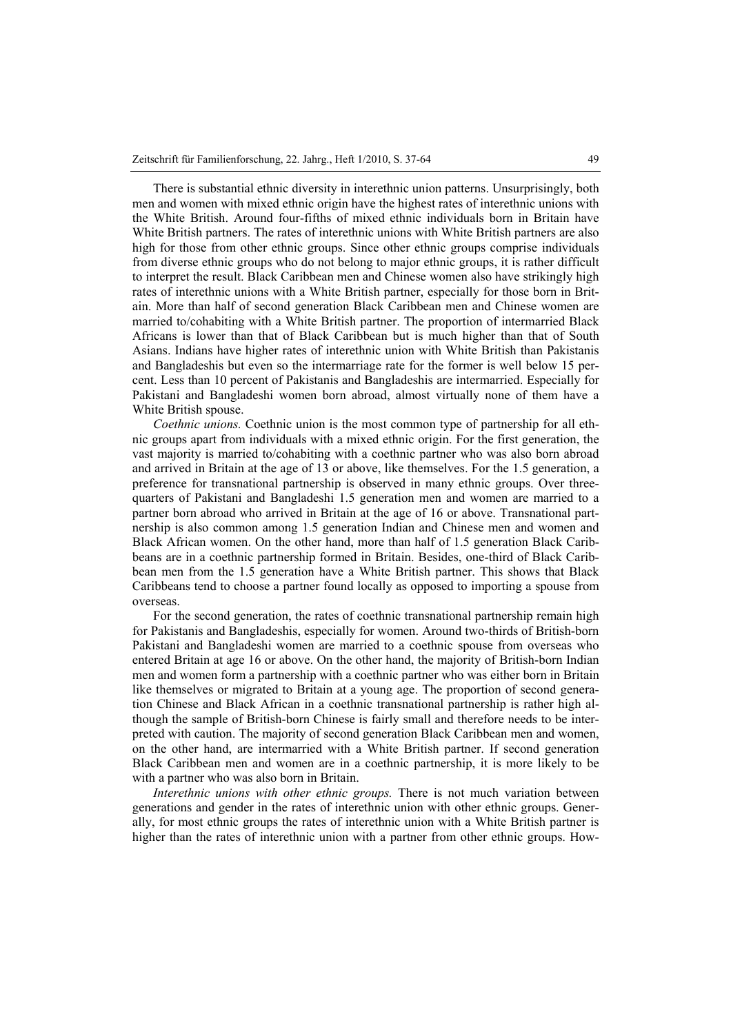There is substantial ethnic diversity in interethnic union patterns. Unsurprisingly, both men and women with mixed ethnic origin have the highest rates of interethnic unions with the White British. Around four-fifths of mixed ethnic individuals born in Britain have White British partners. The rates of interethnic unions with White British partners are also high for those from other ethnic groups. Since other ethnic groups comprise individuals from diverse ethnic groups who do not belong to major ethnic groups, it is rather difficult to interpret the result. Black Caribbean men and Chinese women also have strikingly high rates of interethnic unions with a White British partner, especially for those born in Britain. More than half of second generation Black Caribbean men and Chinese women are married to/cohabiting with a White British partner. The proportion of intermarried Black Africans is lower than that of Black Caribbean but is much higher than that of South Asians. Indians have higher rates of interethnic union with White British than Pakistanis and Bangladeshis but even so the intermarriage rate for the former is well below 15 percent. Less than 10 percent of Pakistanis and Bangladeshis are intermarried. Especially for Pakistani and Bangladeshi women born abroad, almost virtually none of them have a White British spouse.

*Coethnic unions.* Coethnic union is the most common type of partnership for all ethnic groups apart from individuals with a mixed ethnic origin. For the first generation, the vast majority is married to/cohabiting with a coethnic partner who was also born abroad and arrived in Britain at the age of 13 or above, like themselves. For the 1.5 generation, a preference for transnational partnership is observed in many ethnic groups. Over threequarters of Pakistani and Bangladeshi 1.5 generation men and women are married to a partner born abroad who arrived in Britain at the age of 16 or above. Transnational partnership is also common among 1.5 generation Indian and Chinese men and women and Black African women. On the other hand, more than half of 1.5 generation Black Caribbeans are in a coethnic partnership formed in Britain. Besides, one-third of Black Caribbean men from the 1.5 generation have a White British partner. This shows that Black Caribbeans tend to choose a partner found locally as opposed to importing a spouse from overseas.

For the second generation, the rates of coethnic transnational partnership remain high for Pakistanis and Bangladeshis, especially for women. Around two-thirds of British-born Pakistani and Bangladeshi women are married to a coethnic spouse from overseas who entered Britain at age 16 or above. On the other hand, the majority of British-born Indian men and women form a partnership with a coethnic partner who was either born in Britain like themselves or migrated to Britain at a young age. The proportion of second generation Chinese and Black African in a coethnic transnational partnership is rather high although the sample of British-born Chinese is fairly small and therefore needs to be interpreted with caution. The majority of second generation Black Caribbean men and women, on the other hand, are intermarried with a White British partner. If second generation Black Caribbean men and women are in a coethnic partnership, it is more likely to be with a partner who was also born in Britain.

*Interethnic unions with other ethnic groups.* There is not much variation between generations and gender in the rates of interethnic union with other ethnic groups. Generally, for most ethnic groups the rates of interethnic union with a White British partner is higher than the rates of interethnic union with a partner from other ethnic groups. How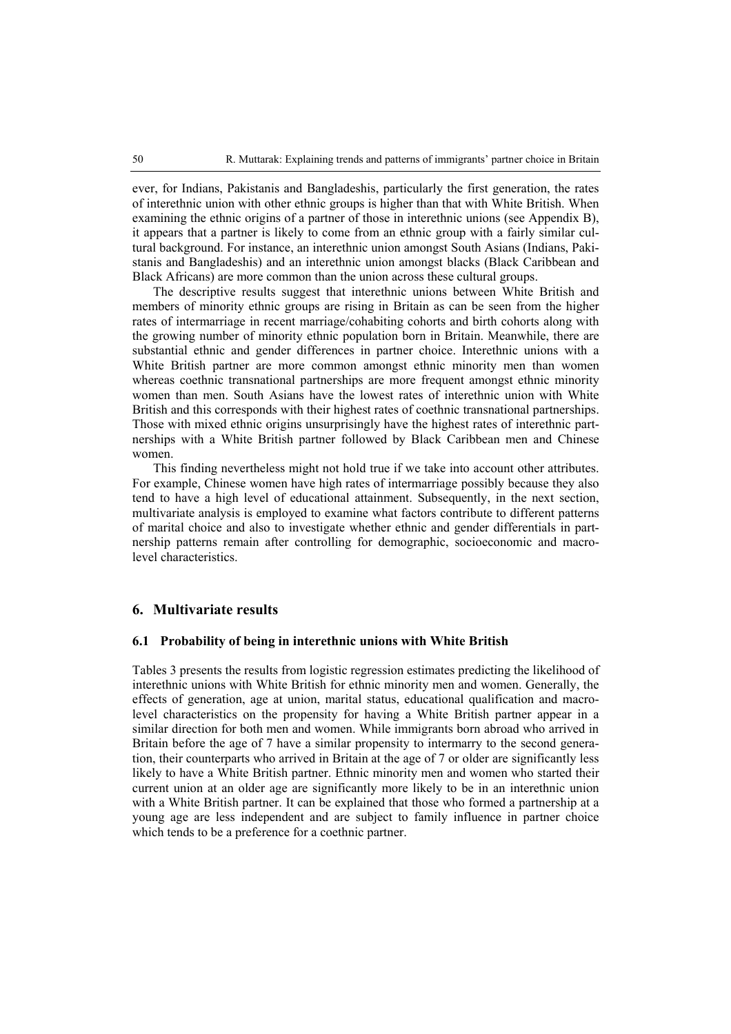ever, for Indians, Pakistanis and Bangladeshis, particularly the first generation, the rates of interethnic union with other ethnic groups is higher than that with White British. When examining the ethnic origins of a partner of those in interethnic unions (see Appendix B), it appears that a partner is likely to come from an ethnic group with a fairly similar cultural background. For instance, an interethnic union amongst South Asians (Indians, Pakistanis and Bangladeshis) and an interethnic union amongst blacks (Black Caribbean and Black Africans) are more common than the union across these cultural groups.

The descriptive results suggest that interethnic unions between White British and members of minority ethnic groups are rising in Britain as can be seen from the higher rates of intermarriage in recent marriage/cohabiting cohorts and birth cohorts along with the growing number of minority ethnic population born in Britain. Meanwhile, there are substantial ethnic and gender differences in partner choice. Interethnic unions with a White British partner are more common amongst ethnic minority men than women whereas coethnic transnational partnerships are more frequent amongst ethnic minority women than men. South Asians have the lowest rates of interethnic union with White British and this corresponds with their highest rates of coethnic transnational partnerships. Those with mixed ethnic origins unsurprisingly have the highest rates of interethnic partnerships with a White British partner followed by Black Caribbean men and Chinese women.

This finding nevertheless might not hold true if we take into account other attributes. For example, Chinese women have high rates of intermarriage possibly because they also tend to have a high level of educational attainment. Subsequently, in the next section, multivariate analysis is employed to examine what factors contribute to different patterns of marital choice and also to investigate whether ethnic and gender differentials in partnership patterns remain after controlling for demographic, socioeconomic and macrolevel characteristics.

## **6. Multivariate results**

#### **6.1 Probability of being in interethnic unions with White British**

Tables 3 presents the results from logistic regression estimates predicting the likelihood of interethnic unions with White British for ethnic minority men and women. Generally, the effects of generation, age at union, marital status, educational qualification and macrolevel characteristics on the propensity for having a White British partner appear in a similar direction for both men and women. While immigrants born abroad who arrived in Britain before the age of 7 have a similar propensity to intermarry to the second generation, their counterparts who arrived in Britain at the age of 7 or older are significantly less likely to have a White British partner. Ethnic minority men and women who started their current union at an older age are significantly more likely to be in an interethnic union with a White British partner. It can be explained that those who formed a partnership at a young age are less independent and are subject to family influence in partner choice which tends to be a preference for a coethnic partner.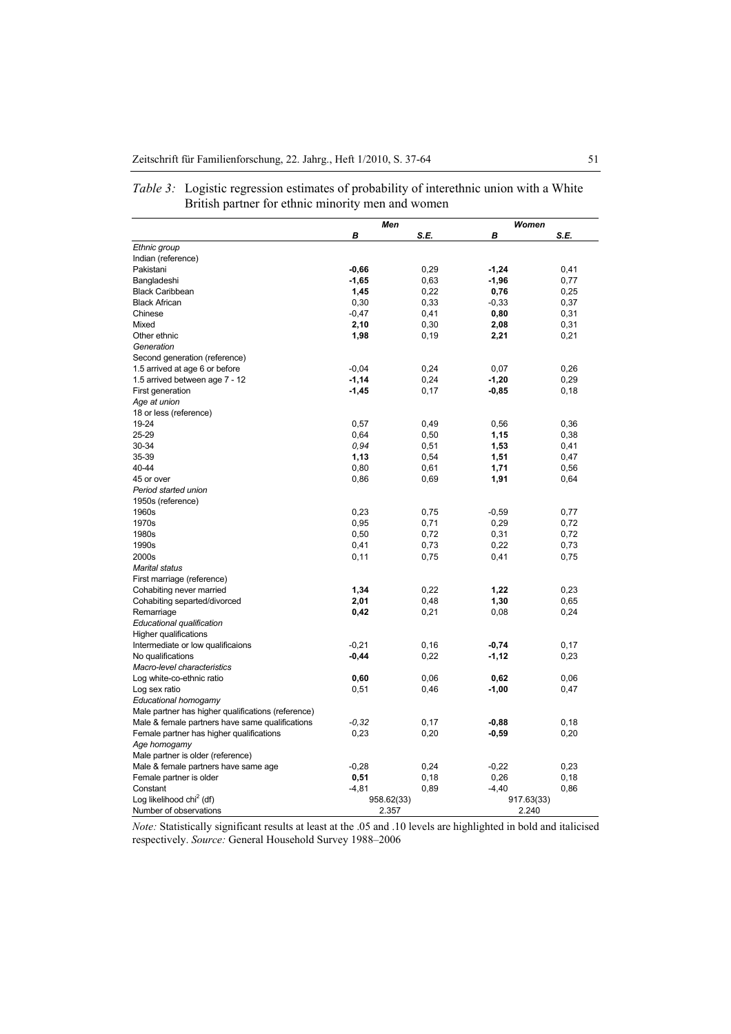|                                                    | Men        |       | Women      |       |
|----------------------------------------------------|------------|-------|------------|-------|
|                                                    | В          | S.E.  | В          | S.E.  |
| Ethnic group                                       |            |       |            |       |
| Indian (reference)                                 |            |       |            |       |
| Pakistani                                          | $-0,66$    | 0,29  | $-1,24$    | 0,41  |
| Bangladeshi                                        | $-1,65$    | 0,63  | $-1,96$    | 0,77  |
| <b>Black Caribbean</b>                             | 1,45       | 0,22  | 0,76       | 0,25  |
| <b>Black African</b>                               | 0,30       | 0,33  | $-0,33$    | 0,37  |
| Chinese                                            | $-0,47$    | 0,41  | 0,80       | 0,31  |
| Mixed                                              | 2,10       | 0,30  | 2,08       | 0,31  |
| Other ethnic                                       | 1,98       | 0, 19 | 2,21       | 0,21  |
| Generation                                         |            |       |            |       |
| Second generation (reference)                      |            |       |            |       |
| 1.5 arrived at age 6 or before                     | $-0,04$    | 0,24  | 0,07       | 0,26  |
| 1.5 arrived between age 7 - 12                     | $-1,14$    | 0,24  | $-1,20$    | 0,29  |
| First generation                                   | $-1,45$    | 0,17  | $-0,85$    | 0,18  |
| Age at union                                       |            |       |            |       |
| 18 or less (reference)                             |            |       |            |       |
| 19-24                                              | 0,57       | 0,49  | 0,56       | 0,36  |
| 25-29                                              | 0,64       | 0,50  | 1,15       | 0,38  |
| 30-34                                              | 0,94       | 0,51  | 1,53       | 0,41  |
| 35-39                                              | 1,13       | 0,54  | 1,51       | 0,47  |
| 40-44                                              | 0,80       | 0,61  | 1,71       | 0,56  |
| 45 or over                                         | 0,86       | 0,69  | 1,91       | 0,64  |
| Period started union                               |            |       |            |       |
| 1950s (reference)                                  |            |       |            |       |
| 1960s                                              | 0,23       | 0,75  | $-0,59$    | 0,77  |
| 1970s                                              | 0,95       | 0,71  | 0,29       | 0,72  |
| 1980s                                              | 0,50       | 0,72  | 0,31       | 0,72  |
| 1990s                                              | 0,41       | 0,73  | 0,22       | 0,73  |
| 2000s                                              | 0,11       | 0,75  | 0,41       | 0,75  |
| <b>Marital status</b>                              |            |       |            |       |
| First marriage (reference)                         |            |       |            |       |
| Cohabiting never married                           | 1,34       | 0,22  | 1,22       | 0,23  |
| Cohabiting separted/divorced                       | 2,01       | 0,48  | 1,30       | 0,65  |
| Remarriage                                         | 0,42       | 0,21  | 0,08       | 0,24  |
| Educational qualification                          |            |       |            |       |
| <b>Higher qualifications</b>                       |            |       |            |       |
| Intermediate or low qualificaions                  | $-0,21$    | 0, 16 | $-0,74$    | 0,17  |
| No qualifications                                  | $-0,44$    | 0,22  | $-1, 12$   | 0,23  |
| Macro-level characteristics                        |            |       |            |       |
| Log white-co-ethnic ratio                          | 0,60       | 0,06  | 0,62       | 0,06  |
| Log sex ratio                                      | 0,51       | 0,46  | $-1,00$    | 0,47  |
| Educational homogamy                               |            |       |            |       |
| Male partner has higher qualifications (reference) |            |       |            |       |
| Male & female partners have same qualifications    | $-0.32$    | 0,17  | $-0,88$    | 0,18  |
| Female partner has higher qualifications           | 0,23       | 0,20  | $-0,59$    | 0,20  |
| Age homogamy                                       |            |       |            |       |
| Male partner is older (reference)                  |            |       |            |       |
| Male & female partners have same age               | $-0,28$    | 0,24  | $-0,22$    | 0,23  |
| Female partner is older                            | 0,51       | 0,18  | 0,26       | 0, 18 |
| Constant                                           | $-4,81$    | 0,89  | $-4,40$    | 0,86  |
| Log likelihood chi <sup>2</sup> (df)               | 958.62(33) |       | 917.63(33) |       |
| Number of observations                             | 2.357      |       | 2.240      |       |

## *Table 3:* Logistic regression estimates of probability of interethnic union with a White British partner for ethnic minority men and women

*Note:* Statistically significant results at least at the .05 and .10 levels are highlighted in bold and italicised respectively. *Source:* General Household Survey 1988–2006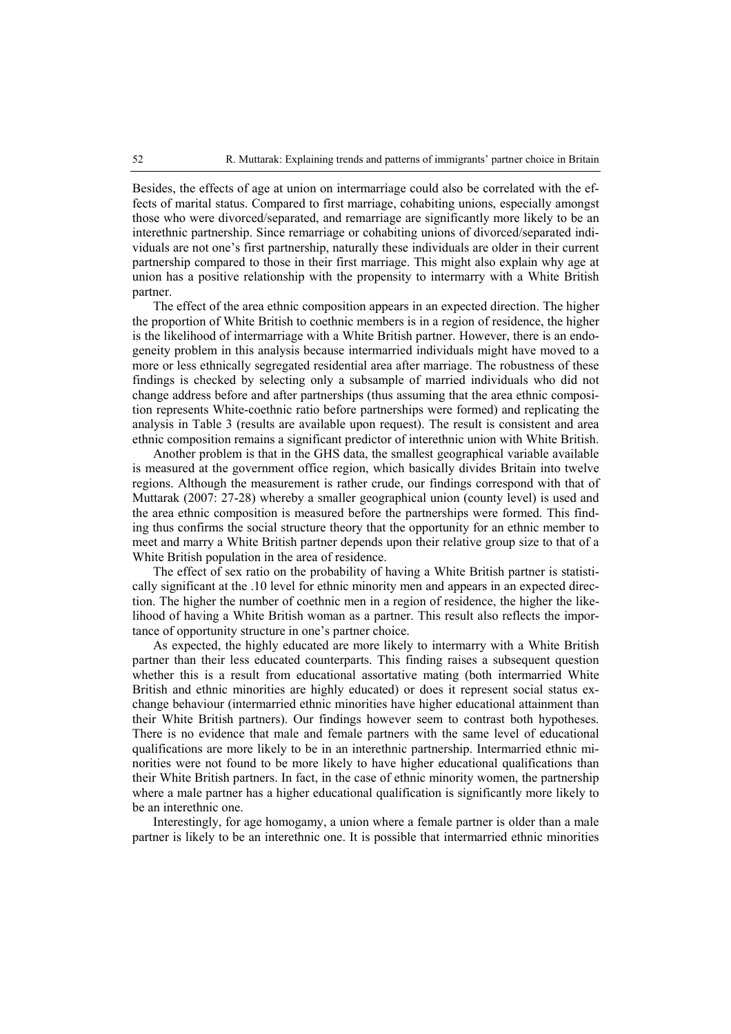Besides, the effects of age at union on intermarriage could also be correlated with the effects of marital status. Compared to first marriage, cohabiting unions, especially amongst those who were divorced/separated, and remarriage are significantly more likely to be an interethnic partnership. Since remarriage or cohabiting unions of divorced/separated individuals are not one's first partnership, naturally these individuals are older in their current partnership compared to those in their first marriage. This might also explain why age at union has a positive relationship with the propensity to intermarry with a White British partner.

The effect of the area ethnic composition appears in an expected direction. The higher the proportion of White British to coethnic members is in a region of residence, the higher is the likelihood of intermarriage with a White British partner. However, there is an endogeneity problem in this analysis because intermarried individuals might have moved to a more or less ethnically segregated residential area after marriage. The robustness of these findings is checked by selecting only a subsample of married individuals who did not change address before and after partnerships (thus assuming that the area ethnic composition represents White-coethnic ratio before partnerships were formed) and replicating the analysis in Table 3 (results are available upon request). The result is consistent and area ethnic composition remains a significant predictor of interethnic union with White British.

Another problem is that in the GHS data, the smallest geographical variable available is measured at the government office region, which basically divides Britain into twelve regions. Although the measurement is rather crude, our findings correspond with that of Muttarak (2007: 27-28) whereby a smaller geographical union (county level) is used and the area ethnic composition is measured before the partnerships were formed. This finding thus confirms the social structure theory that the opportunity for an ethnic member to meet and marry a White British partner depends upon their relative group size to that of a White British population in the area of residence.

The effect of sex ratio on the probability of having a White British partner is statistically significant at the .10 level for ethnic minority men and appears in an expected direction. The higher the number of coethnic men in a region of residence, the higher the likelihood of having a White British woman as a partner. This result also reflects the importance of opportunity structure in one's partner choice.

As expected, the highly educated are more likely to intermarry with a White British partner than their less educated counterparts. This finding raises a subsequent question whether this is a result from educational assortative mating (both intermarried White British and ethnic minorities are highly educated) or does it represent social status exchange behaviour (intermarried ethnic minorities have higher educational attainment than their White British partners). Our findings however seem to contrast both hypotheses. There is no evidence that male and female partners with the same level of educational qualifications are more likely to be in an interethnic partnership. Intermarried ethnic minorities were not found to be more likely to have higher educational qualifications than their White British partners. In fact, in the case of ethnic minority women, the partnership where a male partner has a higher educational qualification is significantly more likely to be an interethnic one.

Interestingly, for age homogamy, a union where a female partner is older than a male partner is likely to be an interethnic one. It is possible that intermarried ethnic minorities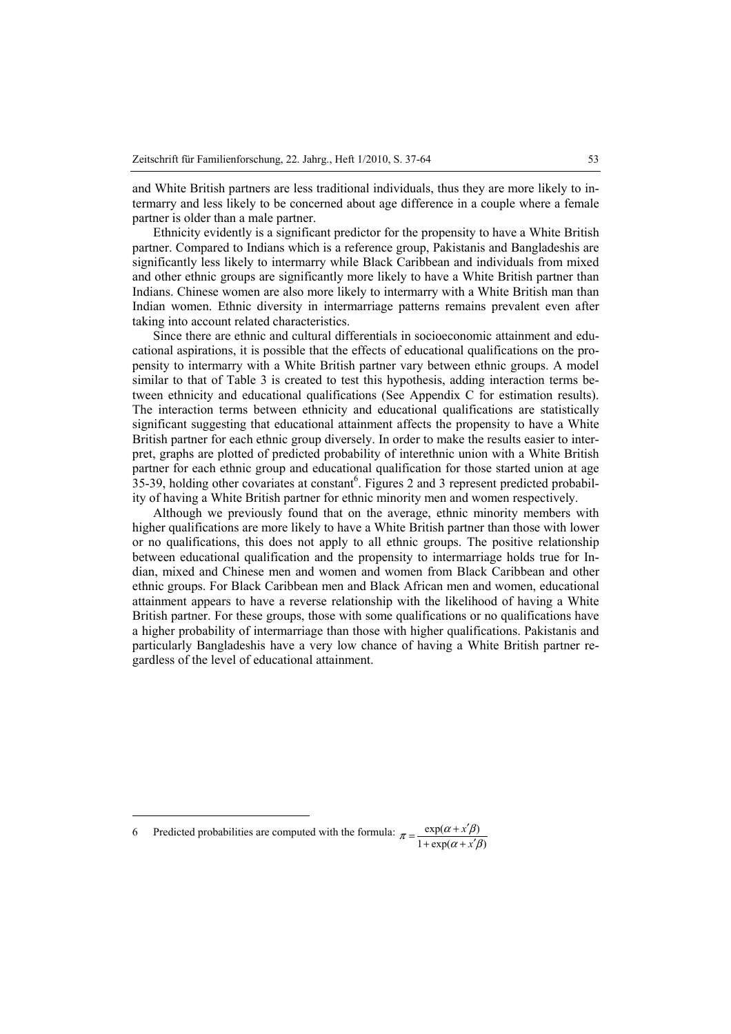and White British partners are less traditional individuals, thus they are more likely to intermarry and less likely to be concerned about age difference in a couple where a female partner is older than a male partner.

Ethnicity evidently is a significant predictor for the propensity to have a White British partner. Compared to Indians which is a reference group, Pakistanis and Bangladeshis are significantly less likely to intermarry while Black Caribbean and individuals from mixed and other ethnic groups are significantly more likely to have a White British partner than Indians. Chinese women are also more likely to intermarry with a White British man than Indian women. Ethnic diversity in intermarriage patterns remains prevalent even after taking into account related characteristics.

Since there are ethnic and cultural differentials in socioeconomic attainment and educational aspirations, it is possible that the effects of educational qualifications on the propensity to intermarry with a White British partner vary between ethnic groups. A model similar to that of Table 3 is created to test this hypothesis, adding interaction terms between ethnicity and educational qualifications (See Appendix C for estimation results). The interaction terms between ethnicity and educational qualifications are statistically significant suggesting that educational attainment affects the propensity to have a White British partner for each ethnic group diversely. In order to make the results easier to interpret, graphs are plotted of predicted probability of interethnic union with a White British partner for each ethnic group and educational qualification for those started union at age  $35-39$ , holding other covariates at constant<sup>6</sup>. Figures 2 and 3 represent predicted probability of having a White British partner for ethnic minority men and women respectively.

Although we previously found that on the average, ethnic minority members with higher qualifications are more likely to have a White British partner than those with lower or no qualifications, this does not apply to all ethnic groups. The positive relationship between educational qualification and the propensity to intermarriage holds true for Indian, mixed and Chinese men and women and women from Black Caribbean and other ethnic groups. For Black Caribbean men and Black African men and women, educational attainment appears to have a reverse relationship with the likelihood of having a White British partner. For these groups, those with some qualifications or no qualifications have a higher probability of intermarriage than those with higher qualifications. Pakistanis and particularly Bangladeshis have a very low chance of having a White British partner regardless of the level of educational attainment.

 $\overline{a}$ 

<sup>6</sup> Predicted probabilities are computed with the formula:  $1 + \exp(\alpha + x'\beta)$  $\exp(\alpha + x'\beta)$  $\alpha + x' \beta$  $\pi = \frac{\exp(\alpha + x'\beta)}{1 + \exp(\alpha + x')\alpha}$ *x* +  $\exp(\alpha + x)$  $=\frac{\exp(\alpha+x')}{\sqrt{2\pi}}$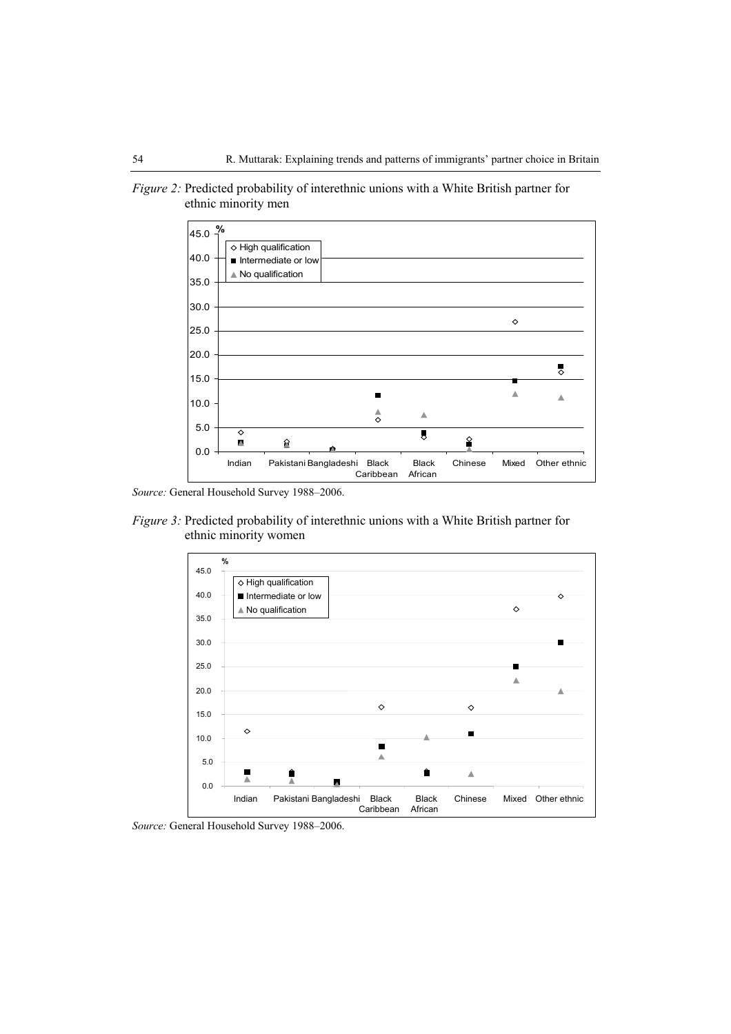

*Figure 2:* Predicted probability of interethnic unions with a White British partner for ethnic minority men

*Source:* General Household Survey 1988–2006.

*Figure 3:* Predicted probability of interethnic unions with a White British partner for ethnic minority women



*Source:* General Household Survey 1988–2006.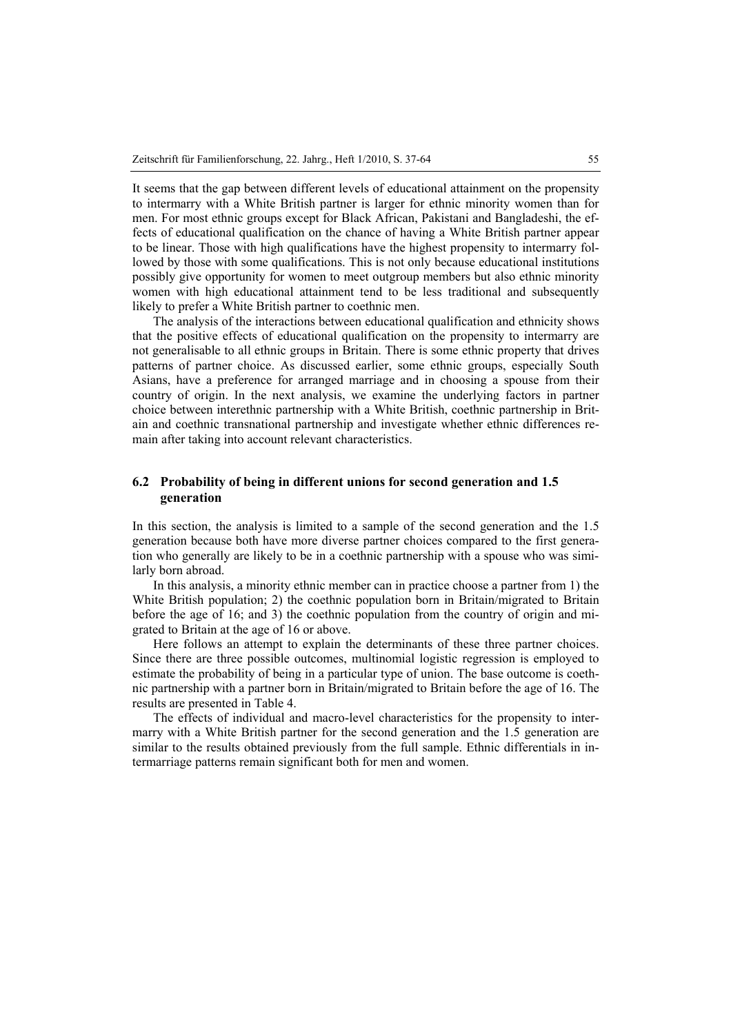It seems that the gap between different levels of educational attainment on the propensity to intermarry with a White British partner is larger for ethnic minority women than for men. For most ethnic groups except for Black African, Pakistani and Bangladeshi, the effects of educational qualification on the chance of having a White British partner appear to be linear. Those with high qualifications have the highest propensity to intermarry followed by those with some qualifications. This is not only because educational institutions possibly give opportunity for women to meet outgroup members but also ethnic minority women with high educational attainment tend to be less traditional and subsequently likely to prefer a White British partner to coethnic men.

The analysis of the interactions between educational qualification and ethnicity shows that the positive effects of educational qualification on the propensity to intermarry are not generalisable to all ethnic groups in Britain. There is some ethnic property that drives patterns of partner choice. As discussed earlier, some ethnic groups, especially South Asians, have a preference for arranged marriage and in choosing a spouse from their country of origin. In the next analysis, we examine the underlying factors in partner choice between interethnic partnership with a White British, coethnic partnership in Britain and coethnic transnational partnership and investigate whether ethnic differences remain after taking into account relevant characteristics.

## **6.2 Probability of being in different unions for second generation and 1.5 generation**

In this section, the analysis is limited to a sample of the second generation and the 1.5 generation because both have more diverse partner choices compared to the first generation who generally are likely to be in a coethnic partnership with a spouse who was similarly born abroad.

In this analysis, a minority ethnic member can in practice choose a partner from 1) the White British population; 2) the coethnic population born in Britain/migrated to Britain before the age of 16; and 3) the coethnic population from the country of origin and migrated to Britain at the age of 16 or above.

Here follows an attempt to explain the determinants of these three partner choices. Since there are three possible outcomes, multinomial logistic regression is employed to estimate the probability of being in a particular type of union. The base outcome is coethnic partnership with a partner born in Britain/migrated to Britain before the age of 16. The results are presented in Table 4.

The effects of individual and macro-level characteristics for the propensity to intermarry with a White British partner for the second generation and the 1.5 generation are similar to the results obtained previously from the full sample. Ethnic differentials in intermarriage patterns remain significant both for men and women.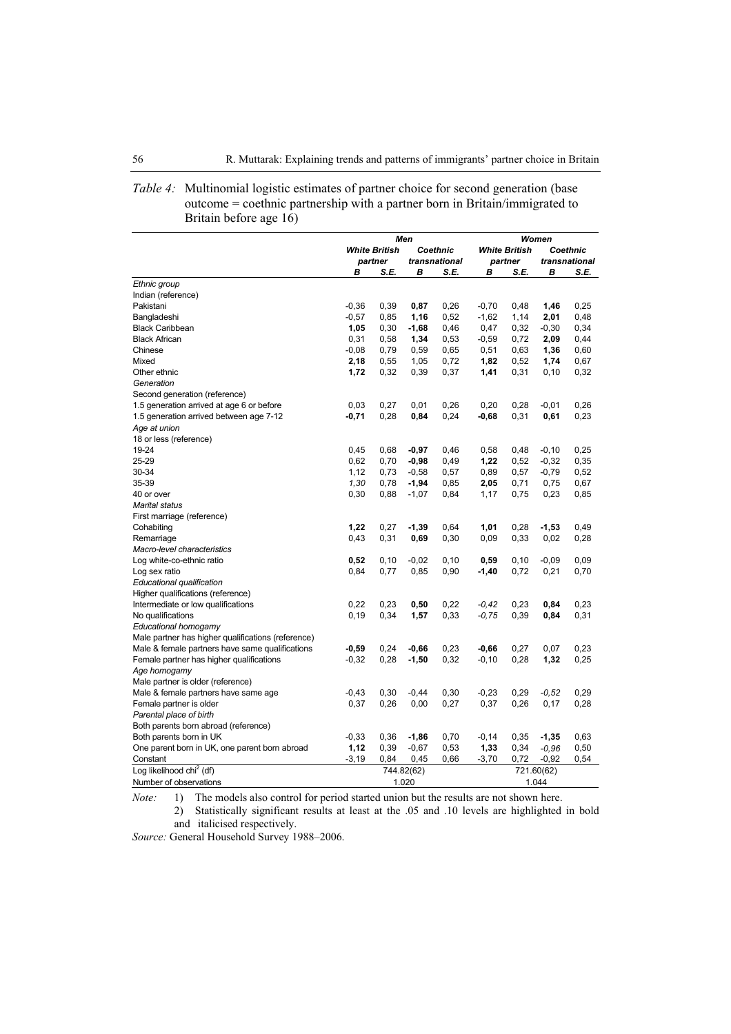| <i>Table 4:</i> Multinomial logistic estimates of partner choice for second generation (base<br>outcome = coethnic partnership with a partner born in Britain/immigrated to |
|-----------------------------------------------------------------------------------------------------------------------------------------------------------------------------|
| Britain before age 16)                                                                                                                                                      |

|                                                    | Men                              |       |            |               | Women                |          |            |               |  |
|----------------------------------------------------|----------------------------------|-------|------------|---------------|----------------------|----------|------------|---------------|--|
|                                                    | <b>White British</b><br>Coethnic |       |            |               | <b>White British</b> | Coethnic |            |               |  |
|                                                    | partner                          |       |            | transnational | partner              |          |            | transnational |  |
|                                                    | в                                | S.E.  | в          | S.E.          | В                    | S.E.     | В          | S.E.          |  |
| Ethnic group                                       |                                  |       |            |               |                      |          |            |               |  |
| Indian (reference)                                 |                                  |       |            |               |                      |          |            |               |  |
| Pakistani                                          | $-0,36$                          | 0,39  | 0,87       | 0,26          | $-0,70$              | 0,48     | 1,46       | 0,25          |  |
| Bangladeshi                                        | $-0,57$                          | 0,85  | 1,16       | 0,52          | $-1,62$              | 1,14     | 2,01       | 0,48          |  |
| <b>Black Caribbean</b>                             | 1,05                             | 0,30  | $-1,68$    | 0,46          | 0,47                 | 0,32     | $-0,30$    | 0,34          |  |
| <b>Black African</b>                               | 0,31                             | 0,58  | 1,34       | 0,53          | $-0,59$              | 0,72     | 2,09       | 0,44          |  |
| Chinese                                            | $-0,08$                          | 0,79  | 0,59       | 0,65          | 0,51                 | 0,63     | 1,36       | 0,60          |  |
| Mixed                                              | 2,18                             | 0,55  | 1,05       | 0,72          | 1,82                 | 0,52     | 1,74       | 0,67          |  |
| Other ethnic                                       | 1,72                             | 0,32  | 0,39       | 0,37          | 1,41                 | 0,31     | 0,10       | 0,32          |  |
| Generation                                         |                                  |       |            |               |                      |          |            |               |  |
| Second generation (reference)                      |                                  |       |            |               |                      |          |            |               |  |
| 1.5 generation arrived at age 6 or before          | 0,03                             | 0,27  | 0,01       | 0,26          | 0,20                 | 0,28     | $-0,01$    | 0,26          |  |
| 1.5 generation arrived between age 7-12            | -0,71                            | 0,28  | 0,84       | 0,24          | $-0,68$              | 0,31     | 0,61       | 0,23          |  |
| Age at union                                       |                                  |       |            |               |                      |          |            |               |  |
| 18 or less (reference)                             |                                  |       |            |               |                      |          |            |               |  |
| 19-24                                              | 0,45                             | 0,68  | $-0,97$    | 0,46          | 0,58                 | 0,48     | $-0, 10$   | 0,25          |  |
| 25-29                                              | 0,62                             | 0,70  | $-0,98$    | 0,49          | 1,22                 | 0,52     | $-0,32$    | 0,35          |  |
| 30-34                                              | 1,12                             | 0,73  | $-0,58$    | 0,57          | 0,89                 | 0,57     | $-0,79$    | 0,52          |  |
| 35-39                                              | 1,30                             | 0,78  | $-1,94$    | 0,85          | 2,05                 | 0,71     | 0,75       | 0,67          |  |
| 40 or over                                         | 0,30                             | 0,88  | $-1,07$    | 0,84          | 1,17                 | 0,75     | 0,23       | 0,85          |  |
| <b>Marital status</b>                              |                                  |       |            |               |                      |          |            |               |  |
| First marriage (reference)                         |                                  |       |            |               |                      |          |            |               |  |
| Cohabiting                                         | 1,22                             | 0,27  | $-1,39$    | 0,64          | 1,01                 | 0,28     | $-1,53$    | 0,49          |  |
| Remarriage                                         | 0,43                             | 0,31  | 0,69       | 0,30          | 0,09                 | 0,33     | 0,02       | 0,28          |  |
| Macro-level characteristics                        |                                  |       |            |               |                      |          |            |               |  |
| Log white-co-ethnic ratio                          | 0,52                             | 0, 10 | $-0,02$    | 0,10          | 0,59                 | 0,10     | $-0,09$    | 0,09          |  |
| Log sex ratio                                      | 0,84                             | 0,77  | 0,85       | 0,90          | $-1,40$              | 0,72     | 0,21       | 0,70          |  |
| Educational qualification                          |                                  |       |            |               |                      |          |            |               |  |
| Higher qualifications (reference)                  |                                  |       |            |               |                      |          |            |               |  |
| Intermediate or low qualifications                 | 0,22                             | 0,23  | 0,50       | 0,22          | $-0,42$              | 0,23     | 0,84       | 0,23          |  |
| No qualifications                                  | 0, 19                            | 0,34  | 1,57       | 0,33          | $-0.75$              | 0,39     | 0,84       | 0,31          |  |
| Educational homogamy                               |                                  |       |            |               |                      |          |            |               |  |
| Male partner has higher qualifications (reference) |                                  |       |            |               |                      |          |            |               |  |
| Male & female partners have same qualifications    | $-0,59$                          | 0,24  | $-0,66$    | 0,23          | $-0,66$              | 0,27     | 0,07       | 0,23          |  |
| Female partner has higher qualifications           | $-0,32$                          | 0,28  | $-1,50$    | 0,32          | $-0, 10$             | 0,28     | 1,32       | 0,25          |  |
| Age homogamy                                       |                                  |       |            |               |                      |          |            |               |  |
| Male partner is older (reference)                  |                                  |       |            |               |                      |          |            |               |  |
| Male & female partners have same age               | $-0,43$                          | 0,30  | $-0,44$    | 0,30          | $-0,23$              | 0,29     | $-0.52$    | 0,29          |  |
| Female partner is older                            | 0,37                             | 0,26  | 0,00       | 0,27          | 0,37                 | 0,26     | 0,17       | 0,28          |  |
| Parental place of birth                            |                                  |       |            |               |                      |          |            |               |  |
| Both parents born abroad (reference)               |                                  |       |            |               |                      |          |            |               |  |
| Both parents born in UK                            | $-0,33$                          | 0,36  | $-1,86$    | 0,70          | $-0,14$              | 0,35     | $-1,35$    | 0,63          |  |
| One parent born in UK, one parent born abroad      | 1,12                             | 0,39  | $-0,67$    | 0,53          | 1,33                 | 0,34     | $-0,96$    | 0,50          |  |
| Constant                                           | $-3,19$                          | 0,84  | 0,45       | 0,66          | $-3,70$              | 0,72     | $-0,92$    | 0,54          |  |
| Log likelihood chi <sup>2</sup> (df)               |                                  |       | 744.82(62) |               |                      |          | 721.60(62) |               |  |
| Number of observations                             |                                  |       | 1.020      |               |                      | 1.044    |            |               |  |

*Note:* 1) The models also control for period started union but the results are not shown here.

2) Statistically significant results at least at the .05 and .10 levels are highlighted in bold and italicised respectively.

*Source:* General Household Survey 1988–2006.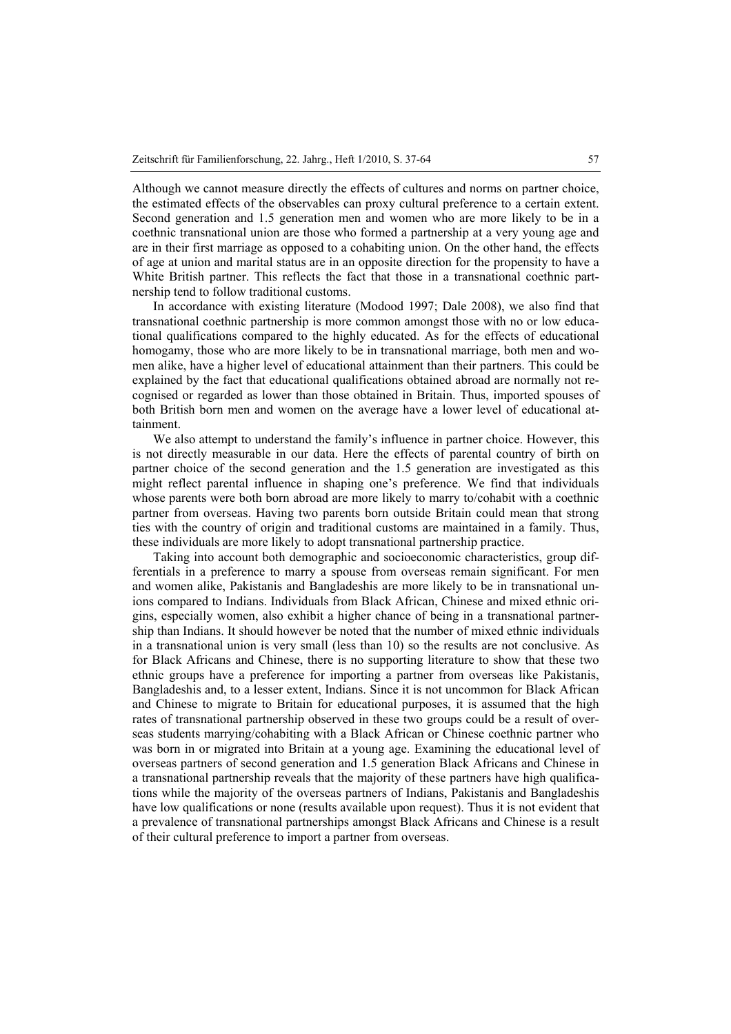Although we cannot measure directly the effects of cultures and norms on partner choice, the estimated effects of the observables can proxy cultural preference to a certain extent. Second generation and 1.5 generation men and women who are more likely to be in a coethnic transnational union are those who formed a partnership at a very young age and are in their first marriage as opposed to a cohabiting union. On the other hand, the effects of age at union and marital status are in an opposite direction for the propensity to have a White British partner. This reflects the fact that those in a transnational coethnic partnership tend to follow traditional customs.

In accordance with existing literature (Modood 1997; Dale 2008), we also find that transnational coethnic partnership is more common amongst those with no or low educational qualifications compared to the highly educated. As for the effects of educational homogamy, those who are more likely to be in transnational marriage, both men and women alike, have a higher level of educational attainment than their partners. This could be explained by the fact that educational qualifications obtained abroad are normally not recognised or regarded as lower than those obtained in Britain. Thus, imported spouses of both British born men and women on the average have a lower level of educational attainment.

We also attempt to understand the family's influence in partner choice. However, this is not directly measurable in our data. Here the effects of parental country of birth on partner choice of the second generation and the 1.5 generation are investigated as this might reflect parental influence in shaping one's preference. We find that individuals whose parents were both born abroad are more likely to marry to/cohabit with a coethnic partner from overseas. Having two parents born outside Britain could mean that strong ties with the country of origin and traditional customs are maintained in a family. Thus, these individuals are more likely to adopt transnational partnership practice.

Taking into account both demographic and socioeconomic characteristics, group differentials in a preference to marry a spouse from overseas remain significant. For men and women alike, Pakistanis and Bangladeshis are more likely to be in transnational unions compared to Indians. Individuals from Black African, Chinese and mixed ethnic origins, especially women, also exhibit a higher chance of being in a transnational partnership than Indians. It should however be noted that the number of mixed ethnic individuals in a transnational union is very small (less than 10) so the results are not conclusive. As for Black Africans and Chinese, there is no supporting literature to show that these two ethnic groups have a preference for importing a partner from overseas like Pakistanis, Bangladeshis and, to a lesser extent, Indians. Since it is not uncommon for Black African and Chinese to migrate to Britain for educational purposes, it is assumed that the high rates of transnational partnership observed in these two groups could be a result of overseas students marrying/cohabiting with a Black African or Chinese coethnic partner who was born in or migrated into Britain at a young age. Examining the educational level of overseas partners of second generation and 1.5 generation Black Africans and Chinese in a transnational partnership reveals that the majority of these partners have high qualifications while the majority of the overseas partners of Indians, Pakistanis and Bangladeshis have low qualifications or none (results available upon request). Thus it is not evident that a prevalence of transnational partnerships amongst Black Africans and Chinese is a result of their cultural preference to import a partner from overseas.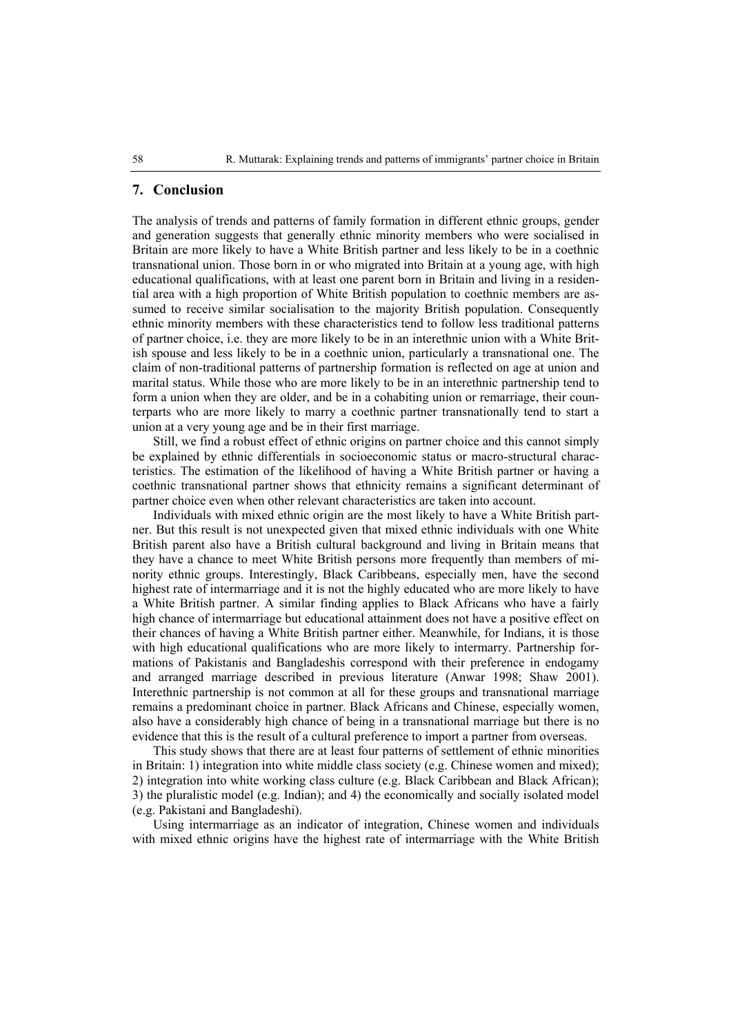## **7. Conclusion**

The analysis of trends and patterns of family formation in different ethnic groups, gender and generation suggests that generally ethnic minority members who were socialised in Britain are more likely to have a White British partner and less likely to be in a coethnic transnational union. Those born in or who migrated into Britain at a young age, with high educational qualifications, with at least one parent born in Britain and living in a residential area with a high proportion of White British population to coethnic members are assumed to receive similar socialisation to the majority British population. Consequently ethnic minority members with these characteristics tend to follow less traditional patterns of partner choice, i.e. they are more likely to be in an interethnic union with a White British spouse and less likely to be in a coethnic union, particularly a transnational one. The claim of non-traditional patterns of partnership formation is reflected on age at union and marital status. While those who are more likely to be in an interethnic partnership tend to form a union when they are older, and be in a cohabiting union or remarriage, their counterparts who are more likely to marry a coethnic partner transnationally tend to start a union at a very young age and be in their first marriage.

Still, we find a robust effect of ethnic origins on partner choice and this cannot simply be explained by ethnic differentials in socioeconomic status or macro-structural characteristics. The estimation of the likelihood of having a White British partner or having a coethnic transnational partner shows that ethnicity remains a significant determinant of partner choice even when other relevant characteristics are taken into account.

Individuals with mixed ethnic origin are the most likely to have a White British partner. But this result is not unexpected given that mixed ethnic individuals with one White British parent also have a British cultural background and living in Britain means that they have a chance to meet White British persons more frequently than members of minority ethnic groups. Interestingly, Black Caribbeans, especially men, have the second highest rate of intermarriage and it is not the highly educated who are more likely to have a White British partner. A similar finding applies to Black Africans who have a fairly high chance of intermarriage but educational attainment does not have a positive effect on their chances of having a White British partner either. Meanwhile, for Indians, it is those with high educational qualifications who are more likely to intermarry. Partnership formations of Pakistanis and Bangladeshis correspond with their preference in endogamy and arranged marriage described in previous literature (Anwar 1998; Shaw 2001). Interethnic partnership is not common at all for these groups and transnational marriage remains a predominant choice in partner. Black Africans and Chinese, especially women, also have a considerably high chance of being in a transnational marriage but there is no evidence that this is the result of a cultural preference to import a partner from overseas.

This study shows that there are at least four patterns of settlement of ethnic minorities in Britain: 1) integration into white middle class society (e.g. Chinese women and mixed); 2) integration into white working class culture (e.g. Black Caribbean and Black African); 3) the pluralistic model (e.g. Indian); and 4) the economically and socially isolated model (e.g. Pakistani and Bangladeshi).

Using intermarriage as an indicator of integration, Chinese women and individuals with mixed ethnic origins have the highest rate of intermarriage with the White British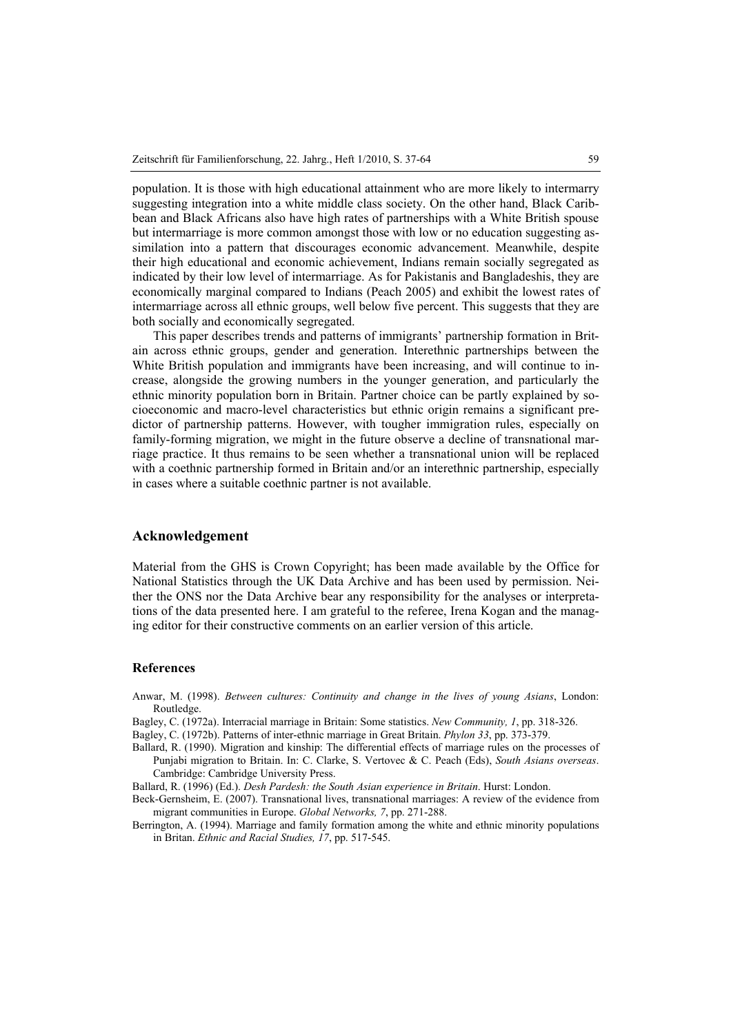population. It is those with high educational attainment who are more likely to intermarry suggesting integration into a white middle class society. On the other hand, Black Caribbean and Black Africans also have high rates of partnerships with a White British spouse but intermarriage is more common amongst those with low or no education suggesting assimilation into a pattern that discourages economic advancement. Meanwhile, despite their high educational and economic achievement, Indians remain socially segregated as indicated by their low level of intermarriage. As for Pakistanis and Bangladeshis, they are economically marginal compared to Indians (Peach 2005) and exhibit the lowest rates of intermarriage across all ethnic groups, well below five percent. This suggests that they are both socially and economically segregated.

This paper describes trends and patterns of immigrants' partnership formation in Britain across ethnic groups, gender and generation. Interethnic partnerships between the White British population and immigrants have been increasing, and will continue to increase, alongside the growing numbers in the younger generation, and particularly the ethnic minority population born in Britain. Partner choice can be partly explained by socioeconomic and macro-level characteristics but ethnic origin remains a significant predictor of partnership patterns. However, with tougher immigration rules, especially on family-forming migration, we might in the future observe a decline of transnational marriage practice. It thus remains to be seen whether a transnational union will be replaced with a coethnic partnership formed in Britain and/or an interethnic partnership, especially in cases where a suitable coethnic partner is not available.

## **Acknowledgement**

Material from the GHS is Crown Copyright; has been made available by the Office for National Statistics through the UK Data Archive and has been used by permission. Neither the ONS nor the Data Archive bear any responsibility for the analyses or interpretations of the data presented here. I am grateful to the referee, Irena Kogan and the managing editor for their constructive comments on an earlier version of this article.

#### **References**

- Anwar, M. (1998). *Between cultures: Continuity and change in the lives of young Asians*, London: Routledge.
- Bagley, C. (1972a). Interracial marriage in Britain: Some statistics. *New Community, 1*, pp. 318-326.
- Bagley, C. (1972b). Patterns of inter-ethnic marriage in Great Britain. *Phylon 33*, pp. 373-379.
- Ballard, R. (1990). Migration and kinship: The differential effects of marriage rules on the processes of Punjabi migration to Britain. In: C. Clarke, S. Vertovec & C. Peach (Eds), *South Asians overseas*. Cambridge: Cambridge University Press.

Ballard, R. (1996) (Ed.). *Desh Pardesh: the South Asian experience in Britain*. Hurst: London.

- Beck-Gernsheim, E. (2007). Transnational lives, transnational marriages: A review of the evidence from migrant communities in Europe. *Global Networks, 7*, pp. 271-288.
- Berrington, A. (1994). Marriage and family formation among the white and ethnic minority populations in Britan. *Ethnic and Racial Studies, 17*, pp. 517-545.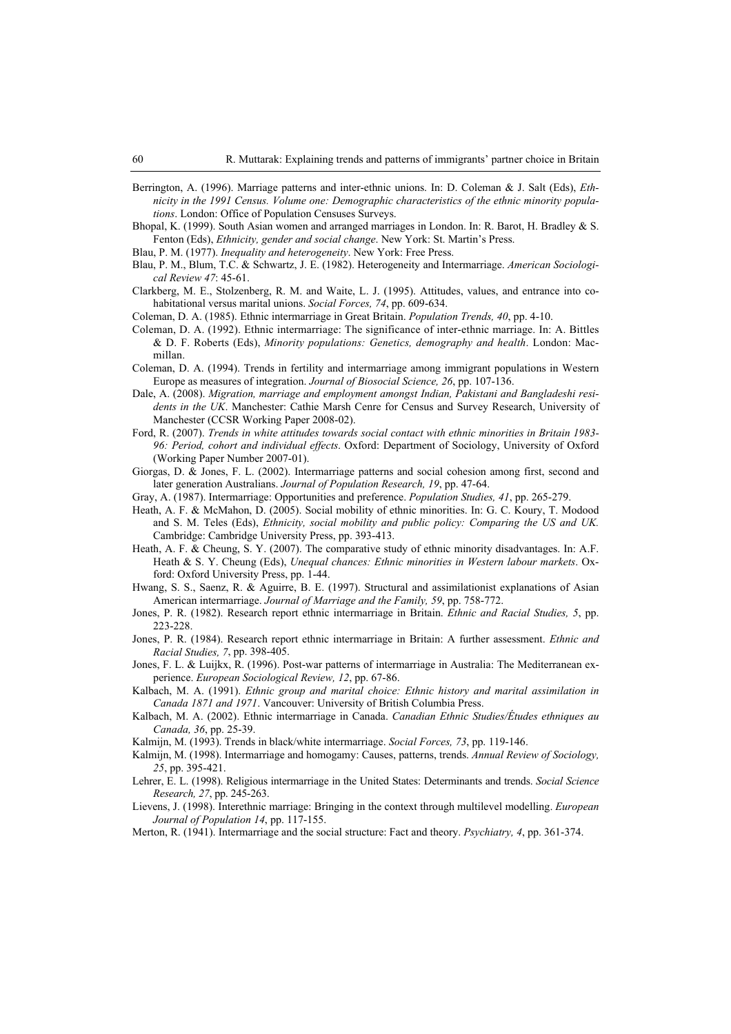- Berrington, A. (1996). Marriage patterns and inter-ethnic unions. In: D. Coleman & J. Salt (Eds), *Ethnicity in the 1991 Census. Volume one: Demographic characteristics of the ethnic minority populations*. London: Office of Population Censuses Surveys.
- Bhopal, K. (1999). South Asian women and arranged marriages in London. In: R. Barot, H. Bradley & S. Fenton (Eds), *Ethnicity, gender and social change*. New York: St. Martin's Press.
- Blau, P. M. (1977). *Inequality and heterogeneity*. New York: Free Press.
- Blau, P. M., Blum, T.C. & Schwartz, J. E. (1982). Heterogeneity and Intermarriage. *American Sociological Review 47*: 45-61.
- Clarkberg, M. E., Stolzenberg, R. M. and Waite, L. J. (1995). Attitudes, values, and entrance into cohabitational versus marital unions. *Social Forces, 74*, pp. 609-634.
- Coleman, D. A. (1985). Ethnic intermarriage in Great Britain. *Population Trends, 40*, pp. 4-10.
- Coleman, D. A. (1992). Ethnic intermarriage: The significance of inter-ethnic marriage. In: A. Bittles & D. F. Roberts (Eds), *Minority populations: Genetics, demography and health*. London: Macmillan.
- Coleman, D. A. (1994). Trends in fertility and intermarriage among immigrant populations in Western Europe as measures of integration. *Journal of Biosocial Science, 26*, pp. 107-136.
- Dale, A. (2008). *Migration, marriage and employment amongst Indian, Pakistani and Bangladeshi residents in the UK*. Manchester: Cathie Marsh Cenre for Census and Survey Research, University of Manchester (CCSR Working Paper 2008-02).
- Ford, R. (2007). *Trends in white attitudes towards social contact with ethnic minorities in Britain 1983- 96: Period, cohort and individual effects*. Oxford: Department of Sociology, University of Oxford (Working Paper Number 2007-01).
- Giorgas, D. & Jones, F. L. (2002). Intermarriage patterns and social cohesion among first, second and later generation Australians. *Journal of Population Research, 19*, pp. 47-64.
- Gray, A. (1987). Intermarriage: Opportunities and preference. *Population Studies, 41*, pp. 265-279.
- Heath, A. F. & McMahon, D. (2005). Social mobility of ethnic minorities. In: G. C. Koury, T. Modood and S. M. Teles (Eds), *Ethnicity, social mobility and public policy: Comparing the US and UK.* Cambridge: Cambridge University Press, pp. 393-413.
- Heath, A. F. & Cheung, S. Y. (2007). The comparative study of ethnic minority disadvantages. In: A.F. Heath & S. Y. Cheung (Eds), *Unequal chances: Ethnic minorities in Western labour markets*. Oxford: Oxford University Press, pp. 1-44.
- Hwang, S. S., Saenz, R. & Aguirre, B. E. (1997). Structural and assimilationist explanations of Asian American intermarriage. *Journal of Marriage and the Family, 59*, pp. 758-772.
- Jones, P. R. (1982). Research report ethnic intermarriage in Britain. *Ethnic and Racial Studies, 5*, pp. 223-228.
- Jones, P. R. (1984). Research report ethnic intermarriage in Britain: A further assessment. *Ethnic and Racial Studies, 7*, pp. 398-405.
- Jones, F. L. & Luijkx, R. (1996). Post-war patterns of intermarriage in Australia: The Mediterranean experience. *European Sociological Review, 12*, pp. 67-86.
- Kalbach, M. A. (1991). *Ethnic group and marital choice: Ethnic history and marital assimilation in Canada 1871 and 1971*. Vancouver: University of British Columbia Press.
- Kalbach, M. A. (2002). Ethnic intermarriage in Canada. *Canadian Ethnic Studies/Études ethniques au Canada, 36*, pp. 25-39.
- Kalmijn, M. (1993). Trends in black/white intermarriage. *Social Forces, 73*, pp. 119-146.
- Kalmijn, M. (1998). Intermarriage and homogamy: Causes, patterns, trends. *Annual Review of Sociology, 25*, pp. 395-421.
- Lehrer, E. L. (1998). Religious intermarriage in the United States: Determinants and trends. *Social Science Research, 27*, pp. 245-263.
- Lievens, J. (1998). Interethnic marriage: Bringing in the context through multilevel modelling. *European Journal of Population 14*, pp. 117-155.
- Merton, R. (1941). Intermarriage and the social structure: Fact and theory. *Psychiatry, 4*, pp. 361-374.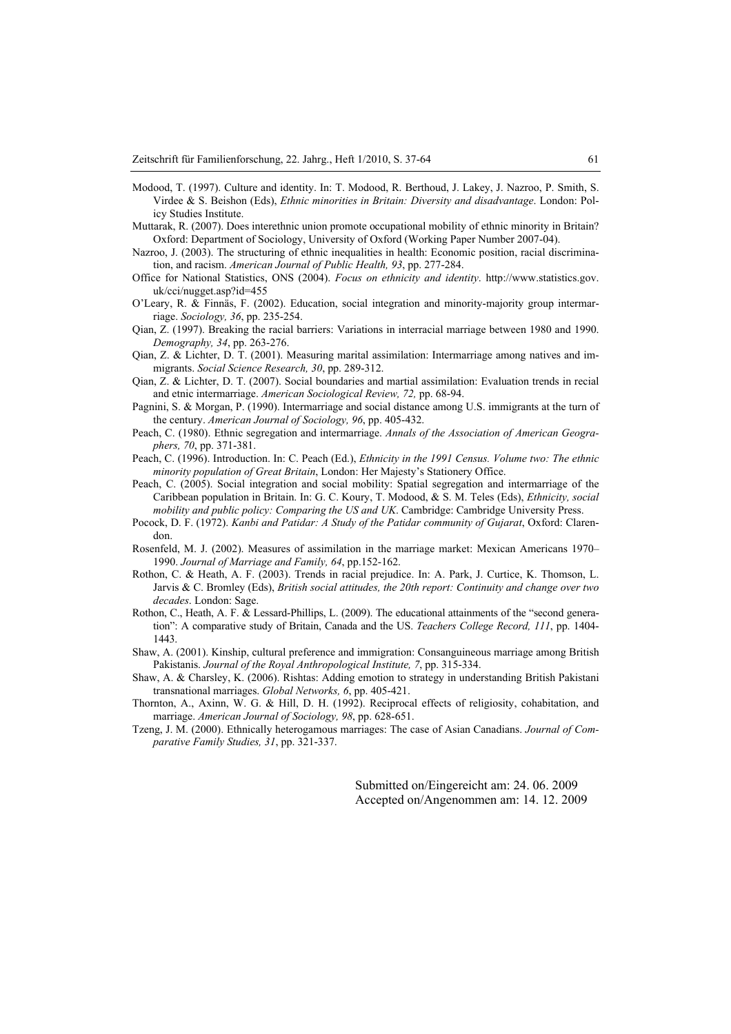- Modood, T. (1997). Culture and identity. In: T. Modood, R. Berthoud, J. Lakey, J. Nazroo, P. Smith, S. Virdee & S. Beishon (Eds), *Ethnic minorities in Britain: Diversity and disadvantage*. London: Policy Studies Institute.
- Muttarak, R. (2007). Does interethnic union promote occupational mobility of ethnic minority in Britain? Oxford: Department of Sociology, University of Oxford (Working Paper Number 2007-04).
- Nazroo, J. (2003). The structuring of ethnic inequalities in health: Economic position, racial discrimination, and racism. *American Journal of Public Health, 93*, pp. 277-284.
- Office for National Statistics, ONS (2004). *Focus on ethnicity and identity*. http://www.statistics.gov. uk/cci/nugget.asp?id=455
- O'Leary, R. & Finnäs, F. (2002). Education, social integration and minority-majority group intermarriage. *Sociology, 36*, pp. 235-254.
- Qian, Z. (1997). Breaking the racial barriers: Variations in interracial marriage between 1980 and 1990. *Demography, 34*, pp. 263-276.
- Qian, Z. & Lichter, D. T. (2001). Measuring marital assimilation: Intermarriage among natives and immigrants. *Social Science Research, 30*, pp. 289-312.
- Qian, Z. & Lichter, D. T. (2007). Social boundaries and martial assimilation: Evaluation trends in recial and etnic intermarriage. *American Sociological Review, 72,* pp. 68-94.
- Pagnini, S. & Morgan, P. (1990). Intermarriage and social distance among U.S. immigrants at the turn of the century. *American Journal of Sociology, 96*, pp. 405-432.
- Peach, C. (1980). Ethnic segregation and intermarriage. *Annals of the Association of American Geographers, 70*, pp. 371-381.
- Peach, C. (1996). Introduction. In: C. Peach (Ed.), *Ethnicity in the 1991 Census. Volume two: The ethnic minority population of Great Britain*, London: Her Majesty's Stationery Office.
- Peach, C. (2005). Social integration and social mobility: Spatial segregation and intermarriage of the Caribbean population in Britain. In: G. C. Koury, T. Modood, & S. M. Teles (Eds), *Ethnicity, social mobility and public policy: Comparing the US and UK*. Cambridge: Cambridge University Press.
- Pocock, D. F. (1972). *Kanbi and Patidar: A Study of the Patidar community of Gujarat*, Oxford: Clarendon.
- Rosenfeld, M. J. (2002). Measures of assimilation in the marriage market: Mexican Americans 1970– 1990. *Journal of Marriage and Family, 64*, pp.152-162.
- Rothon, C. & Heath, A. F. (2003). Trends in racial prejudice. In: A. Park, J. Curtice, K. Thomson, L. Jarvis & C. Bromley (Eds), *British social attitudes, the 20th report: Continuity and change over two decades*. London: Sage.
- Rothon, C., Heath, A. F. & Lessard-Phillips, L. (2009). The educational attainments of the "second generation": A comparative study of Britain, Canada and the US. *Teachers College Record, 111*, pp. 1404- 1443.
- Shaw, A. (2001). Kinship, cultural preference and immigration: Consanguineous marriage among British Pakistanis. *Journal of the Royal Anthropological Institute, 7*, pp. 315-334.
- Shaw, A. & Charsley, K. (2006). Rishtas: Adding emotion to strategy in understanding British Pakistani transnational marriages. *Global Networks, 6*, pp. 405-421.
- Thornton, A., Axinn, W. G. & Hill, D. H. (1992). Reciprocal effects of religiosity, cohabitation, and marriage. *American Journal of Sociology, 98*, pp. 628-651.
- Tzeng, J. M. (2000). Ethnically heterogamous marriages: The case of Asian Canadians. *Journal of Comparative Family Studies, 31*, pp. 321-337.

Submitted on/Eingereicht am: 24. 06. 2009 Accepted on/Angenommen am: 14. 12. 2009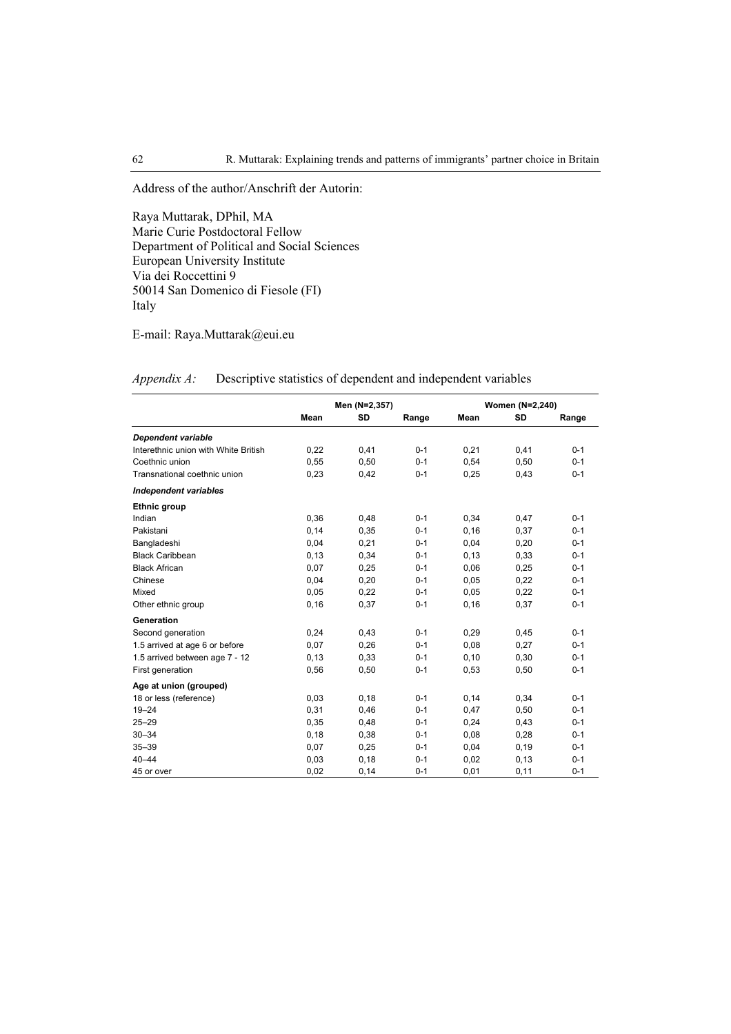Address of the author/Anschrift der Autorin:

Raya Muttarak, DPhil, MA Marie Curie Postdoctoral Fellow Department of Political and Social Sciences European University Institute Via dei Roccettini 9 50014 San Domenico di Fiesole (FI) Italy

E-mail: Raya.Muttarak@eui.eu

|                                      |       | Men (N=2,357) |         | Women (N=2,240) |           |         |
|--------------------------------------|-------|---------------|---------|-----------------|-----------|---------|
|                                      | Mean  | SD            | Range   | Mean            | <b>SD</b> | Range   |
| Dependent variable                   |       |               |         |                 |           |         |
| Interethnic union with White British | 0,22  | 0,41          | $0 - 1$ | 0,21            | 0,41      | $0 - 1$ |
| Coethnic union                       | 0,55  | 0,50          | $0 - 1$ | 0,54            | 0,50      | $0 - 1$ |
| Transnational coethnic union         | 0,23  | 0,42          | $0 - 1$ | 0,25            | 0,43      | $0 - 1$ |
| <b>Independent variables</b>         |       |               |         |                 |           |         |
| Ethnic group                         |       |               |         |                 |           |         |
| Indian                               | 0,36  | 0,48          | $0 - 1$ | 0,34            | 0,47      | $0 - 1$ |
| Pakistani                            | 0,14  | 0,35          | $0 - 1$ | 0, 16           | 0,37      | $0 - 1$ |
| Bangladeshi                          | 0.04  | 0,21          | $0 - 1$ | 0.04            | 0,20      | $0 - 1$ |
| <b>Black Caribbean</b>               | 0, 13 | 0,34          | $0 - 1$ | 0,13            | 0,33      | $0 - 1$ |
| <b>Black African</b>                 | 0.07  | 0,25          | $0 - 1$ | 0.06            | 0,25      | $0 - 1$ |
| Chinese                              | 0,04  | 0,20          | $0 - 1$ | 0,05            | 0,22      | $0 - 1$ |
| Mixed                                | 0,05  | 0,22          | $0 - 1$ | 0,05            | 0,22      | $0 - 1$ |
| Other ethnic group                   | 0, 16 | 0,37          | $0 - 1$ | 0, 16           | 0,37      | $0 - 1$ |
| Generation                           |       |               |         |                 |           |         |
| Second generation                    | 0,24  | 0,43          | $0 - 1$ | 0,29            | 0,45      | $0 - 1$ |
| 1.5 arrived at age 6 or before       | 0,07  | 0,26          | $0 - 1$ | 0,08            | 0,27      | $0 - 1$ |
| 1.5 arrived between age 7 - 12       | 0,13  | 0,33          | $0 - 1$ | 0.10            | 0,30      | $0 - 1$ |
| First generation                     | 0,56  | 0,50          | $0 - 1$ | 0,53            | 0,50      | $0 - 1$ |
| Age at union (grouped)               |       |               |         |                 |           |         |
| 18 or less (reference)               | 0,03  | 0,18          | $0 - 1$ | 0,14            | 0,34      | $0 - 1$ |
| $19 - 24$                            | 0,31  | 0,46          | $0 - 1$ | 0,47            | 0,50      | $0 - 1$ |
| $25 - 29$                            | 0,35  | 0,48          | $0 - 1$ | 0,24            | 0,43      | $0 - 1$ |
| $30 - 34$                            | 0, 18 | 0,38          | $0 - 1$ | 0,08            | 0,28      | $0 - 1$ |
| $35 - 39$                            | 0,07  | 0,25          | $0 - 1$ | 0,04            | 0,19      | $0 - 1$ |
| $40 - 44$                            | 0,03  | 0,18          | $0 - 1$ | 0.02            | 0,13      | $0 - 1$ |
| 45 or over                           | 0,02  | 0,14          | $0 - 1$ | 0.01            | 0.11      | $0 - 1$ |

*Appendix A:* Descriptive statistics of dependent and independent variables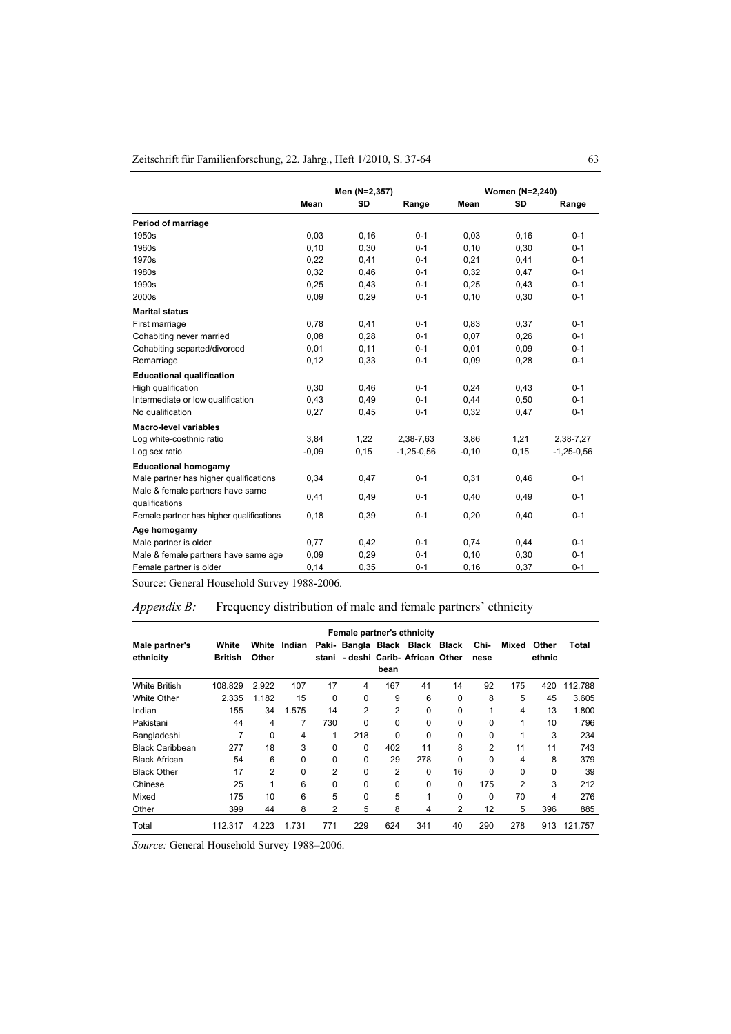|                                          |         | Men (N=2,357) |              |          | Women (N=2,240) |              |
|------------------------------------------|---------|---------------|--------------|----------|-----------------|--------------|
|                                          | Mean    | SD            | Range        | Mean     | SD              | Range        |
| Period of marriage                       |         |               |              |          |                 |              |
| 1950s                                    | 0,03    | 0, 16         | $0 - 1$      | 0,03     | 0,16            | $0 - 1$      |
| 1960s                                    | 0, 10   | 0,30          | $0 - 1$      | 0, 10    | 0,30            | $0 - 1$      |
| 1970s                                    | 0,22    | 0,41          | $0 - 1$      | 0,21     | 0,41            | $0 - 1$      |
| 1980s                                    | 0,32    | 0,46          | $0 - 1$      | 0,32     | 0,47            | $0 - 1$      |
| 1990s                                    | 0,25    | 0,43          | $0 - 1$      | 0,25     | 0,43            | $0 - 1$      |
| 2000s                                    | 0.09    | 0,29          | $0 - 1$      | 0, 10    | 0,30            | $0 - 1$      |
| <b>Marital status</b>                    |         |               |              |          |                 |              |
| First marriage                           | 0,78    | 0,41          | $0 - 1$      | 0.83     | 0,37            | $0 - 1$      |
| Cohabiting never married                 | 0,08    | 0,28          | $0 - 1$      | 0,07     | 0,26            | $0 - 1$      |
| Cohabiting separted/divorced             | 0,01    | 0,11          | $0 - 1$      | 0,01     | 0,09            | $0 - 1$      |
| Remarriage                               | 0,12    | 0,33          | $0 - 1$      | 0,09     | 0,28            | $0 - 1$      |
| <b>Educational qualification</b>         |         |               |              |          |                 |              |
| High qualification                       | 0,30    | 0.46          | $0 - 1$      | 0.24     | 0,43            | $0 - 1$      |
| Intermediate or low qualification        | 0,43    | 0,49          | $0 - 1$      | 0,44     | 0,50            | $0 - 1$      |
| No qualification                         | 0,27    | 0,45          | $0 - 1$      | 0,32     | 0,47            | $0 - 1$      |
| <b>Macro-level variables</b>             |         |               |              |          |                 |              |
| Log white-coethnic ratio                 | 3,84    | 1,22          | 2,38-7,63    | 3,86     | 1,21            | 2,38-7,27    |
| Log sex ratio                            | $-0.09$ | 0, 15         | $-1,25-0,56$ | $-0, 10$ | 0,15            | $-1,25-0,56$ |
| <b>Educational homogamy</b>              |         |               |              |          |                 |              |
| Male partner has higher qualifications   | 0,34    | 0,47          | $0 - 1$      | 0,31     | 0,46            | $0 - 1$      |
| Male & female partners have same         | 0,41    | 0,49          | $0 - 1$      | 0,40     | 0,49            | $0 - 1$      |
| qualifications                           |         |               |              |          |                 |              |
| Female partner has higher qualifications | 0,18    | 0,39          | $0 - 1$      | 0,20     | 0,40            | $0 - 1$      |
| Age homogamy                             |         |               |              |          |                 |              |
| Male partner is older                    | 0,77    | 0,42          | $0 - 1$      | 0,74     | 0,44            | $0 - 1$      |
| Male & female partners have same age     | 0,09    | 0,29          | $0 - 1$      | 0, 10    | 0,30            | $0 - 1$      |
| Female partner is older                  | 0,14    | 0,35          | $0 - 1$      | 0,16     | 0,37            | $0 - 1$      |

Source: General Household Survey 1988-2006.

## *Appendix B:* Frequency distribution of male and female partners' ethnicity

| Female partner's ethnicity  |                         |                |          |          |                                |          |                              |    |                |          |                 |         |
|-----------------------------|-------------------------|----------------|----------|----------|--------------------------------|----------|------------------------------|----|----------------|----------|-----------------|---------|
| Male partner's<br>ethnicity | White<br><b>British</b> | White<br>Other | Indian   | stani    | Paki- Bangla Black Black Black | bean     | - deshi Carib- African Other |    | Chi-<br>nese   | Mixed    | Other<br>ethnic | Total   |
| <b>White British</b>        | 108.829                 | 2.922          | 107      | 17       | $\overline{4}$                 | 167      | 41                           | 14 | 92             | 175      | 420             | 112.788 |
| White Other                 | 2.335                   | 1.182          | 15       | $\Omega$ | $\Omega$                       | 9        | 6                            | 0  | 8              | 5        | 45              | 3.605   |
| Indian                      | 155                     | 34             | 1.575    | 14       | 2                              | 2        | 0                            | 0  | 1              | 4        | 13              | 1.800   |
| Pakistani                   | 44                      | 4              | 7        | 730      | 0                              | $\Omega$ | 0                            | 0  | 0              | 1        | 10              | 796     |
| Bangladeshi                 | 7                       | 0              | 4        | 1        | 218                            | 0        | 0                            | 0  | 0              | 1        | 3               | 234     |
| <b>Black Caribbean</b>      | 277                     | 18             | 3        | 0        | $\Omega$                       | 402      | 11                           | 8  | $\overline{2}$ | 11       | 11              | 743     |
| <b>Black African</b>        | 54                      | 6              | $\Omega$ | 0        | 0                              | 29       | 278                          | 0  | $\Omega$       | 4        | 8               | 379     |
| <b>Black Other</b>          | 17                      | 2              | $\Omega$ | 2        | $\Omega$                       | 2        | 0                            | 16 | $\Omega$       | $\Omega$ | $\Omega$        | 39      |
| Chinese                     | 25                      | 1              | 6        | $\Omega$ | 0                              | 0        | 0                            | 0  | 175            | 2        | 3               | 212     |
| Mixed                       | 175                     | 10             | 6        | 5        | 0                              | 5        | 1                            | 0  | $\Omega$       | 70       | 4               | 276     |
| Other                       | 399                     | 44             | 8        | 2        | 5                              | 8        | 4                            | 2  | 12             | 5        | 396             | 885     |
| Total                       | 112.317                 | 4.223          | 1.731    | 771      | 229                            | 624      | 341                          | 40 | 290            | 278      | 913             | 121.757 |

*Source:* General Household Survey 1988–2006.